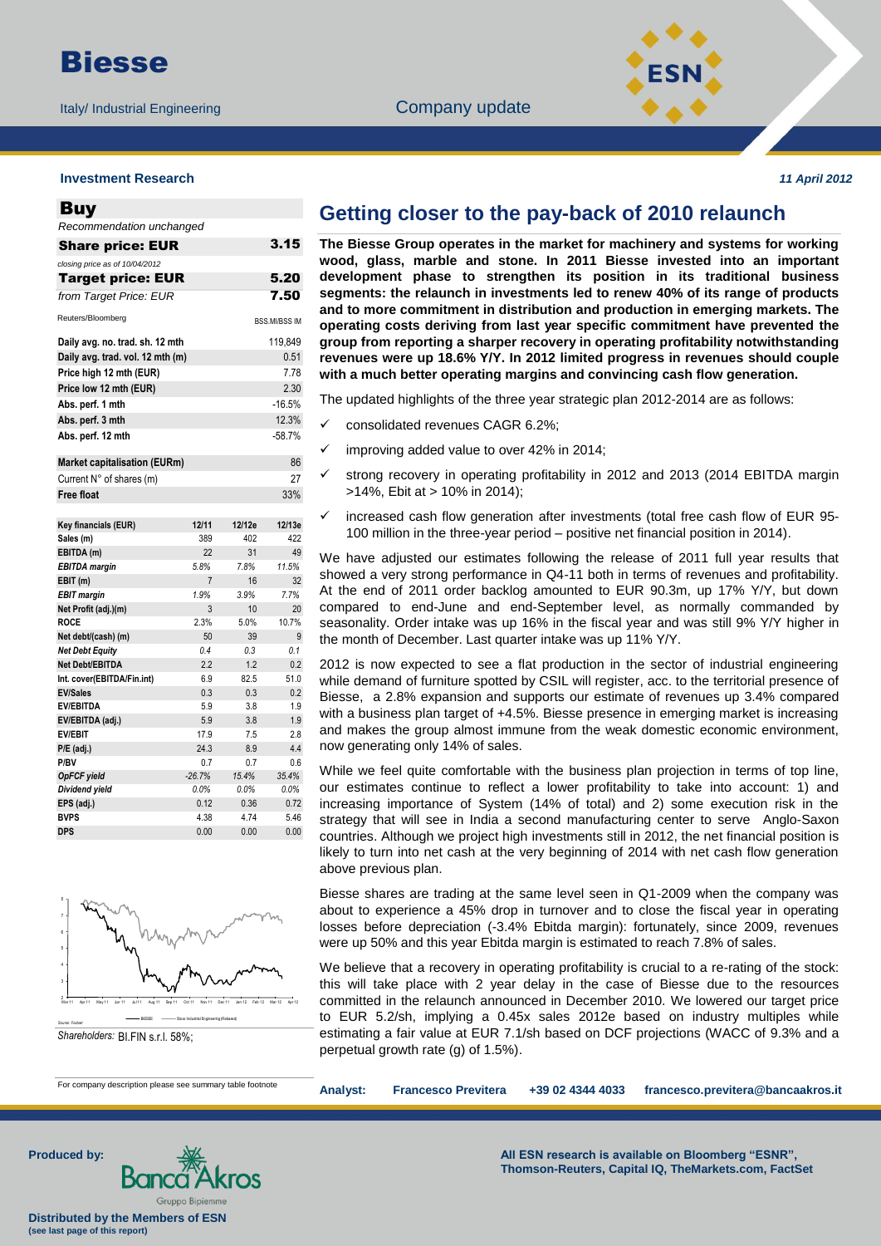Italy/ Industrial Engineering Company update

#### **Investment Research** *11 April 2012*

#### **Buy**

| Recommendation unchanged            |                |            |                      |
|-------------------------------------|----------------|------------|----------------------|
| <b>Share price: EUR</b>             |                |            | 3.15                 |
| closing price as of 10/04/2012      |                |            |                      |
| Target price: EUR                   |                |            | 5.20                 |
| from Target Price: EUR              |                |            | 7.50                 |
| Reuters/Bloomberg                   |                |            | <b>BSS.MI/BSS IM</b> |
| Daily avg. no. trad. sh. 12 mth     |                |            | 119,849              |
| Daily avg. trad. vol. 12 mth (m)    |                |            | 0.51                 |
| Price high 12 mth (EUR)             |                |            | 7.78                 |
| Price low 12 mth (EUR)              |                |            | 2.30                 |
|                                     |                |            | $-16.5%$             |
| Abs. perf. 1 mth                    |                |            |                      |
| Abs. perf. 3 mth                    |                |            | 12.3%                |
| Abs. perf. 12 mth                   |                |            | $-58.7%$             |
| <b>Market capitalisation (EURm)</b> |                |            | 86                   |
| Current N° of shares (m)            |                |            | 27                   |
| Free float                          |                |            | 33%                  |
|                                     |                |            |                      |
| Key financials (EUR)                | 12/11          | 12/12e     | 12/13e               |
| Sales (m)                           | 389            | 402        | 422                  |
| EBITDA (m)                          | 22             | 31         | 49                   |
| <b>EBITDA</b> margin                | 5.8%           | 7.8%       | 11.5%                |
| EBIT (m)                            | $\overline{7}$ | 16         | 32                   |
| <b>EBIT</b> margin                  | 1.9%           | 3.9%       | 7.7%                 |
| Net Profit (adj.)(m)                | 3              | 10         | 20                   |
| <b>ROCE</b>                         | 2.3%           | 5.0%       | 10.7%                |
| Net debt/(cash) (m)                 | 50             | 39         | 9                    |
| <b>Net Debt Equity</b>              | 0.4            | 0.3        | 0.1                  |
| Net Debt/EBITDA                     | 2.2            | 1.2        | 0.2                  |
| Int. cover(EBITDA/Fin.int)          | 6.9            | 82.5       | 51.0                 |
| <b>EV/Sales</b><br><b>EV/EBITDA</b> | 0.3<br>5.9     | 0.3<br>3.8 | 0.2<br>1.9           |
| EV/EBITDA (adj.)                    | 5.9            | 3.8        | 1.9                  |
| <b>EV/EBIT</b>                      | 17.9           | 7.5        | 2.8                  |
| P/E (adj.)                          | 24.3           | 8.9        | 4.4                  |
| P/BV                                | 0.7            | 0.7        | 0.6                  |
| OpFCF yield                         | $-26.7%$       | 15.4%      | 35.4%                |
| Dividend yield                      | 0.0%           | 0.0%       | 0.0%                 |
| EPS (adj.)                          | 0.12           | 0.36       | 0.72                 |
| <b>BVPS</b>                         | 4.38           | 4.74       | 5.46                 |
| <b>DPS</b>                          | 0.00           | 0.00       | 0.00                 |



For company description please see summary table footnote



# **Getting closer to the pay-back of 2010 relaunch**

**The Biesse Group operates in the market for machinery and systems for working wood, glass, marble and stone. In 2011 Biesse invested into an important development phase to strengthen its position in its traditional business segments: the relaunch in investments led to renew 40% of its range of products and to more commitment in distribution and production in emerging markets. The operating costs deriving from last year specific commitment have prevented the group from reporting a sharper recovery in operating profitability notwithstanding revenues were up 18.6% Y/Y. In 2012 limited progress in revenues should couple with a much better operating margins and convincing cash flow generation.**

The updated highlights of the three year strategic plan 2012-2014 are as follows:

- consolidated revenues CAGR 6.2%;
- improving added value to over 42% in 2014;
- $\checkmark$  strong recovery in operating profitability in 2012 and 2013 (2014 EBITDA margin >14%, Ebit at > 10% in 2014);
- $\checkmark$  increased cash flow generation after investments (total free cash flow of EUR 95-100 million in the three-year period – positive net financial position in 2014).

We have adjusted our estimates following the release of 2011 full year results that showed a very strong performance in Q4-11 both in terms of revenues and profitability. At the end of 2011 order backlog amounted to EUR 90.3m, up 17% Y/Y, but down compared to end-June and end-September level, as normally commanded by seasonality. Order intake was up 16% in the fiscal year and was still 9% Y/Y higher in the month of December. Last quarter intake was up 11% Y/Y.

2012 is now expected to see a flat production in the sector of industrial engineering while demand of furniture spotted by CSIL will register, acc. to the territorial presence of Biesse, a 2.8% expansion and supports our estimate of revenues up 3.4% compared with a business plan target of +4.5%. Biesse presence in emerging market is increasing and makes the group almost immune from the weak domestic economic environment, now generating only 14% of sales.

While we feel quite comfortable with the business plan projection in terms of top line, our estimates continue to reflect a lower profitability to take into account: 1) and increasing importance of System (14% of total) and 2) some execution risk in the strategy that will see in India a second manufacturing center to serve Anglo-Saxon countries. Although we project high investments still in 2012, the net financial position is likely to turn into net cash at the very beginning of 2014 with net cash flow generation above previous plan.

Biesse shares are trading at the same level seen in Q1-2009 when the company was about to experience a 45% drop in turnover and to close the fiscal year in operating losses before depreciation (-3.4% Ebitda margin): fortunately, since 2009, revenues were up 50% and this year Ebitda margin is estimated to reach 7.8% of sales.

We believe that a recovery in operating profitability is crucial to a re-rating of the stock: this will take place with 2 year delay in the case of Biesse due to the resources committed in the relaunch announced in December 2010. We lowered our target price to EUR 5.2/sh, implying a 0.45x sales 2012e based on industry multiples while estimating a fair value at EUR 7.1/sh based on DCF projections (WACC of 9.3% and a perpetual growth rate (g) of 1.5%).

**Analyst: Francesco Previtera +39 02 4344 4033 francesco.previtera@bancaakros.it**

**Produced by: All ESN research is available on Bloomberg "ESNR"**, **All ESN research is available on Bloomberg "ESNR"** 

Gruppo Bipiemme **Distributed by the Members of ESN (see last page of this report)**

**Thomson-Reuters, Capital IQ, TheMarkets.com, FactSet**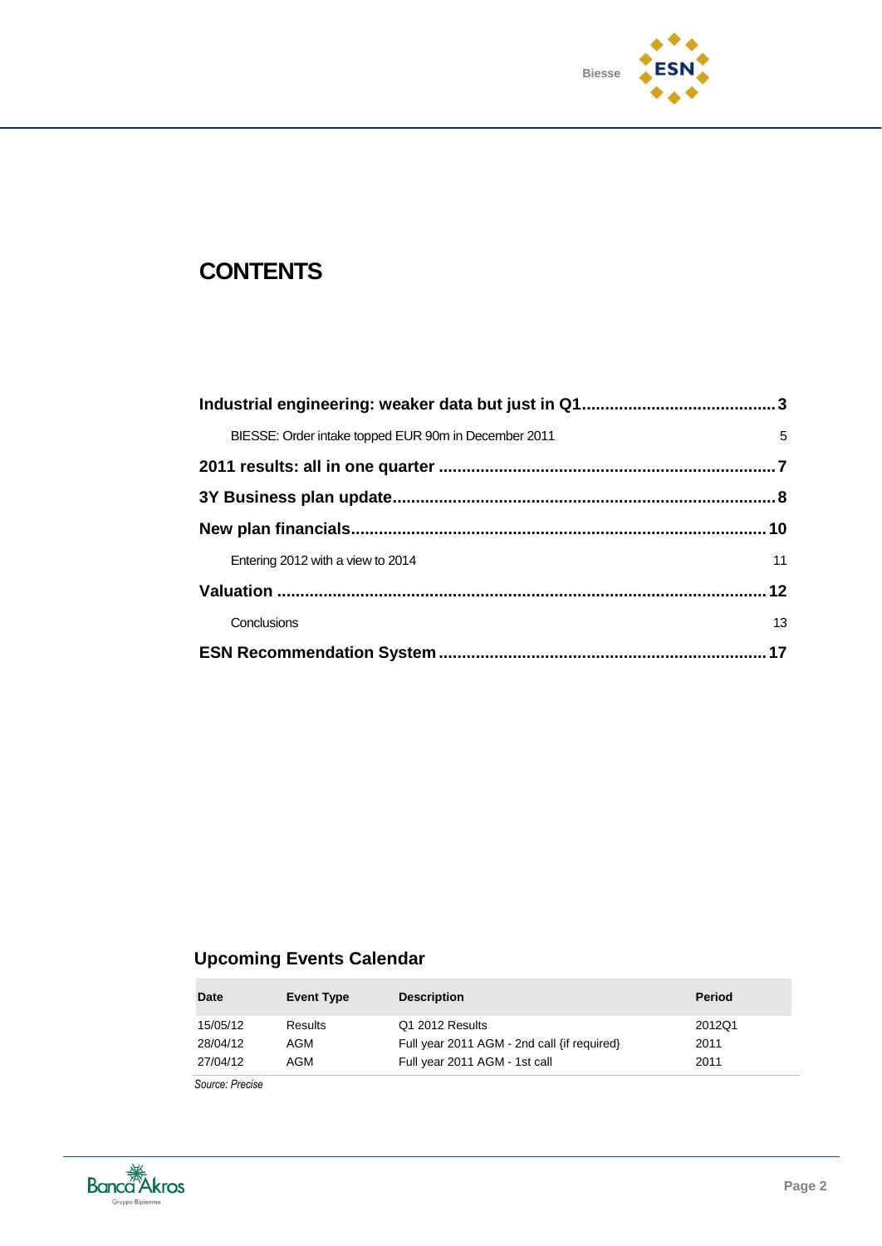

# **CONTENTS**

| BIESSE: Order intake topped EUR 90m in December 2011 | 5  |
|------------------------------------------------------|----|
|                                                      |    |
|                                                      |    |
|                                                      |    |
| Entering 2012 with a view to 2014                    | 11 |
|                                                      |    |
| Conclusions                                          | 13 |
|                                                      |    |

# **Upcoming Events Calendar**

| Date            | <b>Event Type</b> | <b>Description</b>                          | <b>Period</b> |
|-----------------|-------------------|---------------------------------------------|---------------|
| 15/05/12        | Results           | Q1 2012 Results                             | 2012Q1        |
| 28/04/12        | AGM               | Full year 2011 AGM - 2nd call {if required} | 2011          |
| 27/04/12        | AGM               | Full year 2011 AGM - 1st call               | 2011          |
| Carrosa Davalas |                   |                                             |               |

*Source: Precise*

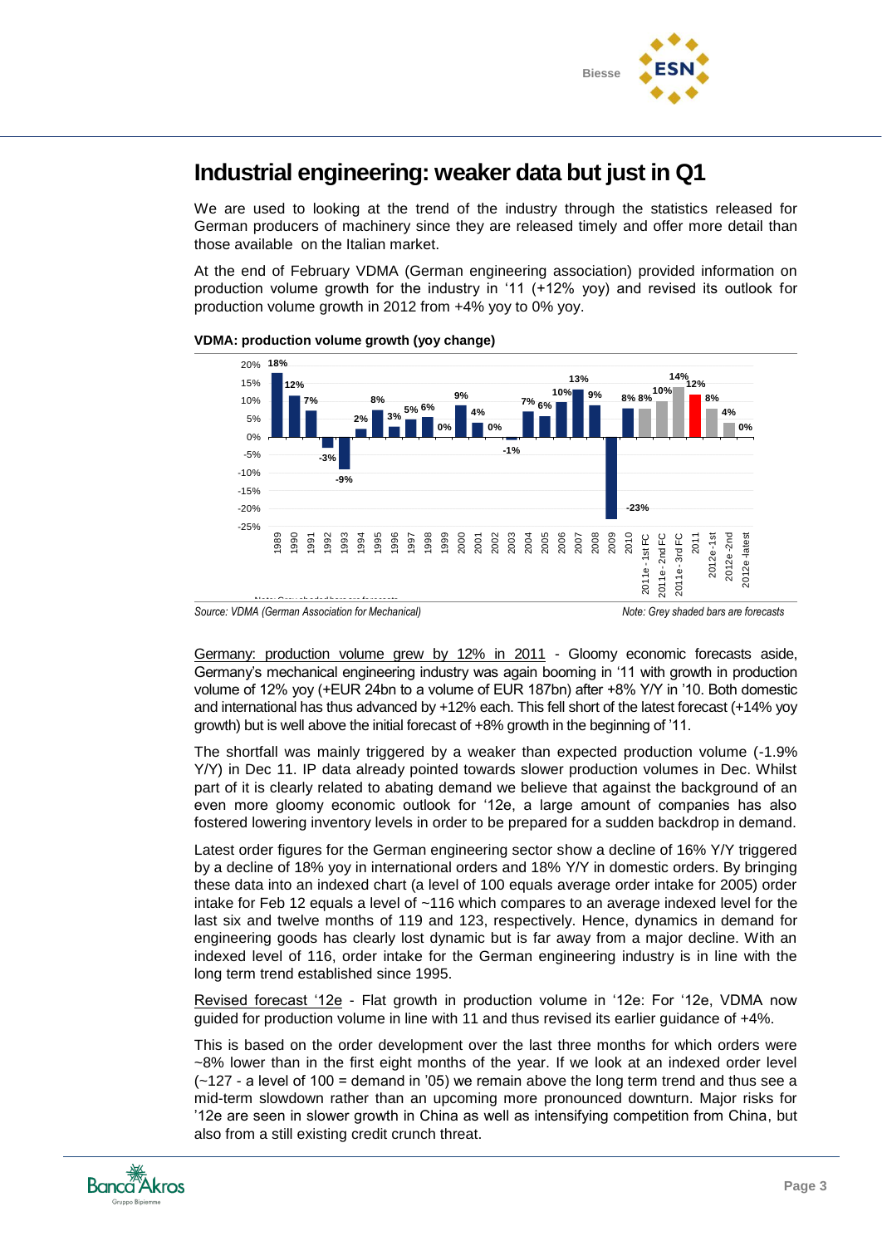

# <span id="page-2-0"></span>**Industrial engineering: weaker data but just in Q1**

We are used to looking at the trend of the industry through the statistics released for German producers of machinery since they are released timely and offer more detail than those available on the Italian market.

At the end of February VDMA (German engineering association) provided information on production volume growth for the industry in '11 (+12% yoy) and revised its outlook for production volume growth in 2012 from +4% yoy to 0% yoy.



### **VDMA: production volume growth (yoy change) VDMA - Production volume growth (yoy)**

Germany: production volume grew by 12% in 2011 - Gloomy economic forecasts aside, Germany's mechanical engineering industry was again booming in '11 with growth in production volume of 12% yoy (+EUR 24bn to a volume of EUR 187bn) after +8% Y/Y in '10. Both domestic and international has thus advanced by +12% each. This fell short of the latest forecast (+14% yoy growth) but is well above the initial forecast of +8% growth in the beginning of '11.

The shortfall was mainly triggered by a weaker than expected production volume (-1.9% Y/Y) in Dec 11. IP data already pointed towards slower production volumes in Dec. Whilst part of it is clearly related to abating demand we believe that against the background of an even more gloomy economic outlook for '12e, a large amount of companies has also fostered lowering inventory levels in order to be prepared for a sudden backdrop in demand.

Latest order figures for the German engineering sector show a decline of 16% Y/Y triggered by a decline of 18% yoy in international orders and 18% Y/Y in domestic orders. By bringing these data into an indexed chart (a level of 100 equals average order intake for 2005) order intake for Feb 12 equals a level of ~116 which compares to an average indexed level for the last six and twelve months of 119 and 123, respectively. Hence, dynamics in demand for engineering goods has clearly lost dynamic but is far away from a major decline. With an indexed level of 116, order intake for the German engineering industry is in line with the long term trend established since 1995.

Revised forecast '12e - Flat growth in production volume in '12e: For '12e, VDMA now guided for production volume in line with 11 and thus revised its earlier guidance of +4%.

This is based on the order development over the last three months for which orders were  $~-8\%$  lower than in the first eight months of the year. If we look at an indexed order level (~127 - a level of 100 = demand in '05) we remain above the long term trend and thus see a mid-term slowdown rather than an upcoming more pronounced downturn. Major risks for '12e are seen in slower growth in China as well as intensifying competition from China, but also from a still existing credit crunch threat.

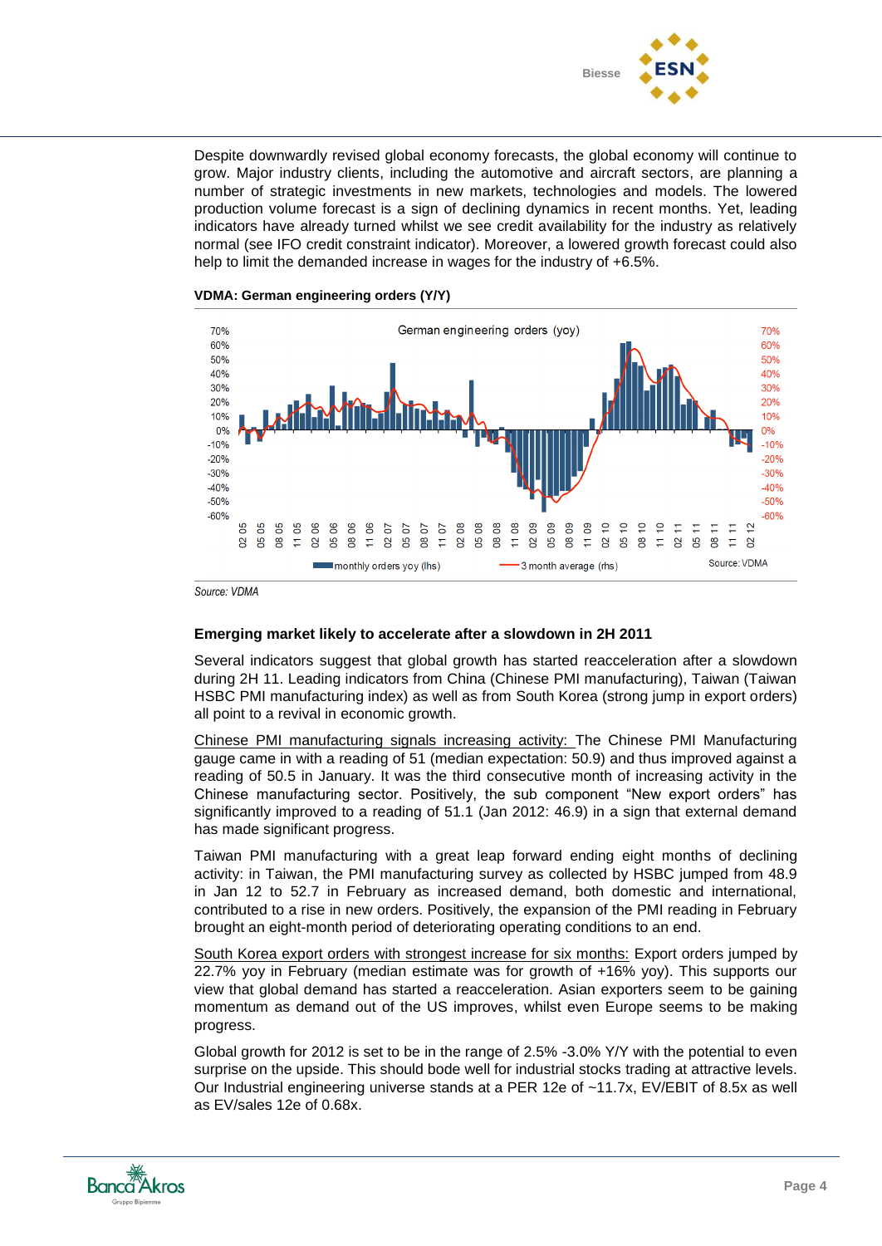

Despite downwardly revised global economy forecasts, the global economy will continue to grow. Major industry clients, including the automotive and aircraft sectors, are planning a number of strategic investments in new markets, technologies and models. The lowered production volume forecast is a sign of declining dynamics in recent months. Yet, leading indicators have already turned whilst we see credit availability for the industry as relatively normal (see IFO credit constraint indicator). Moreover, a lowered growth forecast could also help to limit the demanded increase in wages for the industry of +6.5%.





*Source: VDMA*

### **Emerging market likely to accelerate after a slowdown in 2H 2011**

Several indicators suggest that global growth has started reacceleration after a slowdown during 2H 11. Leading indicators from China (Chinese PMI manufacturing), Taiwan (Taiwan HSBC PMI manufacturing index) as well as from South Korea (strong jump in export orders) all point to a revival in economic growth.

Chinese PMI manufacturing signals increasing activity: The Chinese PMI Manufacturing gauge came in with a reading of 51 (median expectation: 50.9) and thus improved against a reading of 50.5 in January. It was the third consecutive month of increasing activity in the Chinese manufacturing sector. Positively, the sub component "New export orders" has significantly improved to a reading of 51.1 (Jan 2012: 46.9) in a sign that external demand has made significant progress.

Taiwan PMI manufacturing with a great leap forward ending eight months of declining activity: in Taiwan, the PMI manufacturing survey as collected by HSBC jumped from 48.9 in Jan 12 to 52.7 in February as increased demand, both domestic and international, contributed to a rise in new orders. Positively, the expansion of the PMI reading in February brought an eight-month period of deteriorating operating conditions to an end.

South Korea export orders with strongest increase for six months: Export orders jumped by 22.7% yoy in February (median estimate was for growth of +16% yoy). This supports our view that global demand has started a reacceleration. Asian exporters seem to be gaining momentum as demand out of the US improves, whilst even Europe seems to be making progress.

Global growth for 2012 is set to be in the range of 2.5% -3.0% Y/Y with the potential to even surprise on the upside. This should bode well for industrial stocks trading at attractive levels. Our Industrial engineering universe stands at a PER 12e of ~11.7x, EV/EBIT of 8.5x as well as EV/sales 12e of 0.68x.

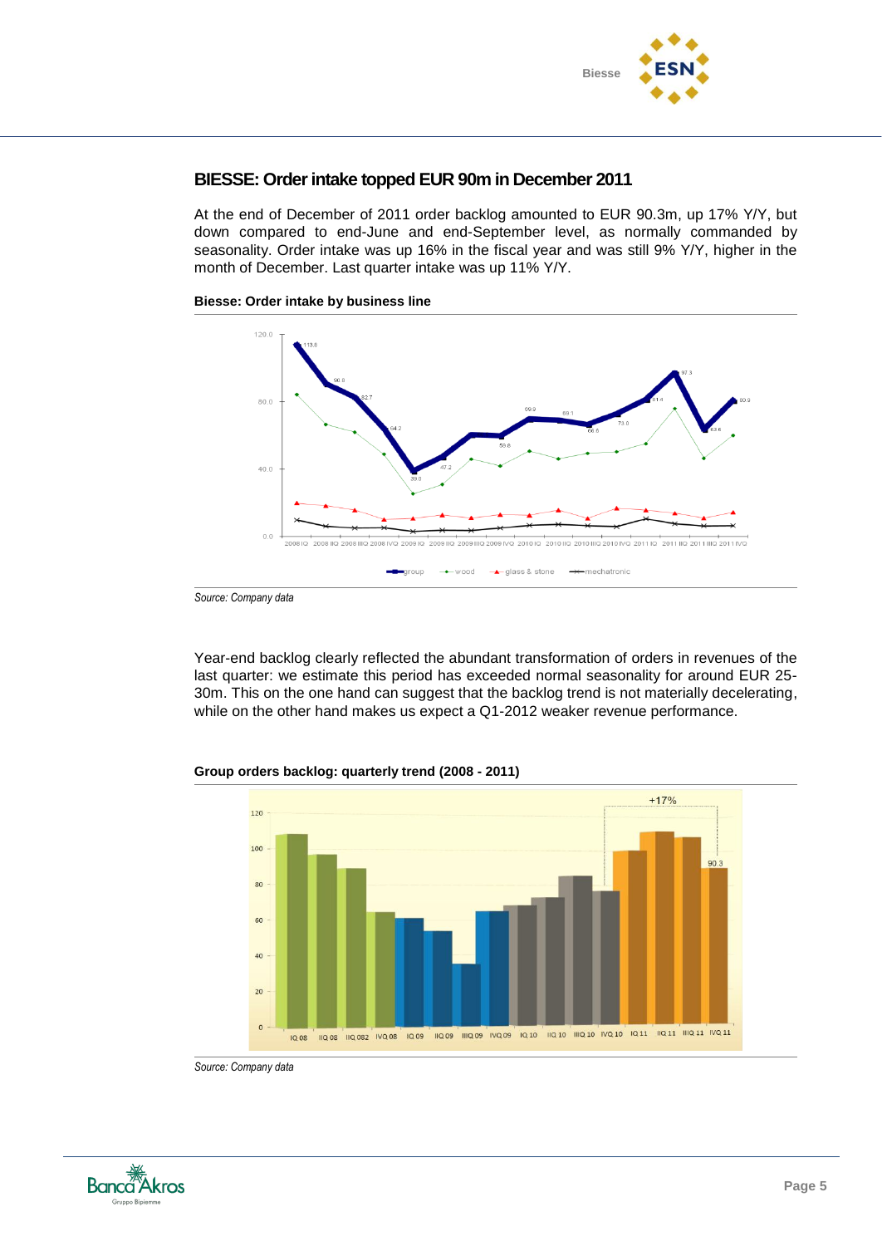

### <span id="page-4-0"></span>**BIESSE: Order intake topped EUR 90m in December 2011**

At the end of December of 2011 order backlog amounted to EUR 90.3m, up 17% Y/Y, but down compared to end-June and end-September level, as normally commanded by seasonality. Order intake was up 16% in the fiscal year and was still 9% Y/Y, higher in the month of December. Last quarter intake was up 11% Y/Y.

# $120.0$ 80.0  $400$  $0.0$ 09 |||Q 2009 ||VQ 2010 ||Q 2010 ||Q 2010 ||Q 2010 ||VQ 2011 ||Q 2011 ||Q 2011 |||Q 2011 ||VC 008 IIIO 2008 IVO 2009 IO group → wood → glass & stone → mechatronic

#### **Biesse: Order intake by business line**

*Source: Company data*

Year-end backlog clearly reflected the abundant transformation of orders in revenues of the last quarter: we estimate this period has exceeded normal seasonality for around EUR 25- 30m. This on the one hand can suggest that the backlog trend is not materially decelerating, while on the other hand makes us expect a Q1-2012 weaker revenue performance.



#### **Group orders backlog: quarterly trend (2008 - 2011)**

*Source: Company data*

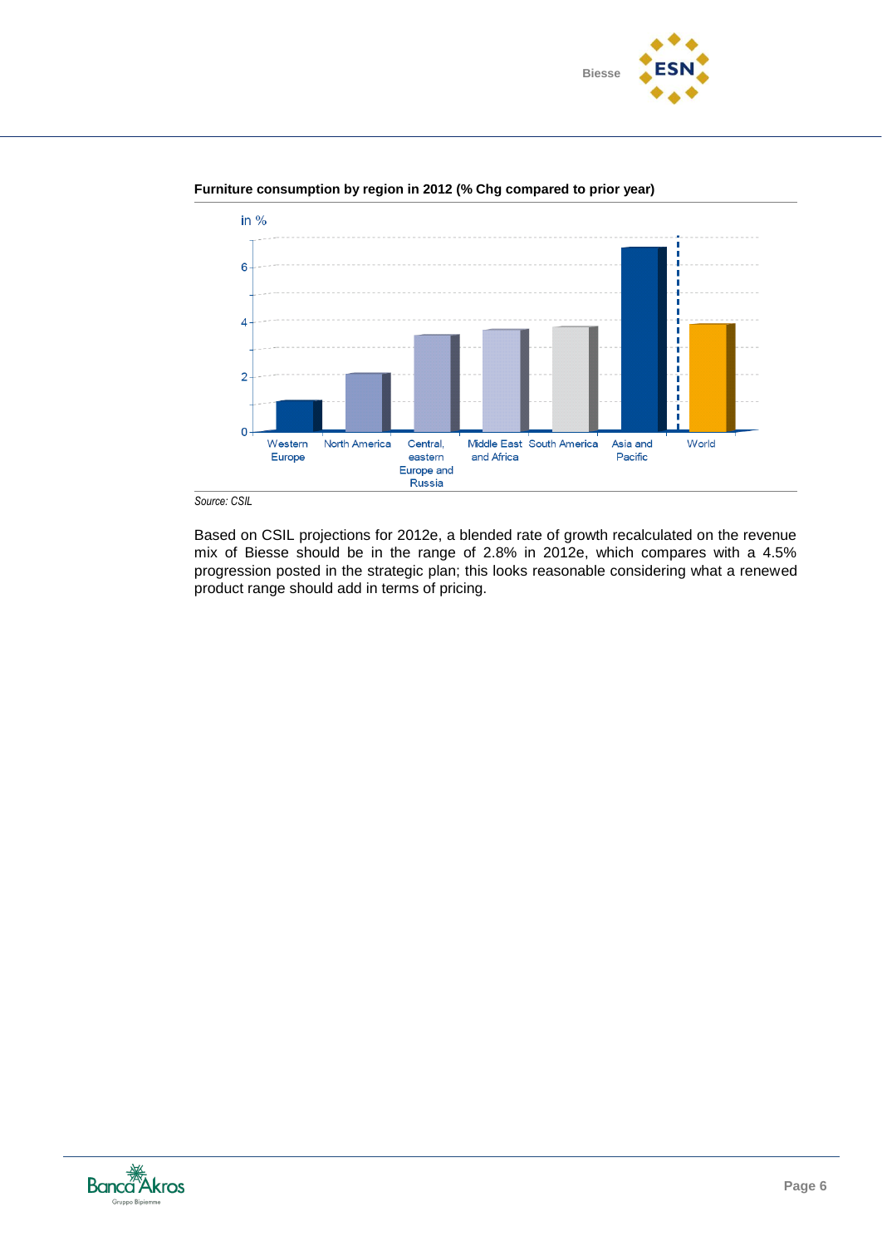



### **Furniture consumption by region in 2012 (% Chg compared to prior year)**

*Source: CSIL*

Based on CSIL projections for 2012e, a blended rate of growth recalculated on the revenue mix of Biesse should be in the range of 2.8% in 2012e, which compares with a 4.5% progression posted in the strategic plan; this looks reasonable considering what a renewed product range should add in terms of pricing.

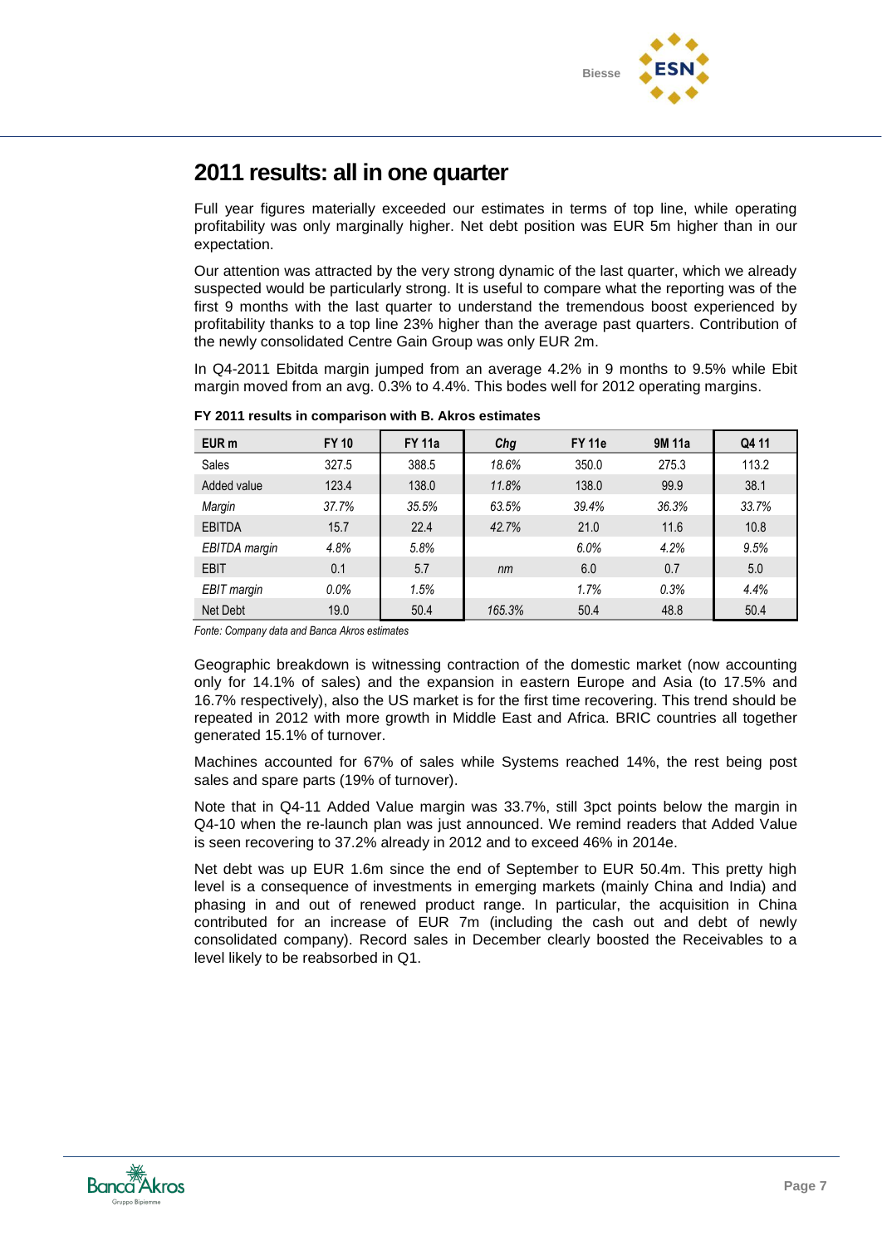

# <span id="page-6-0"></span>**2011 results: all in one quarter**

Full year figures materially exceeded our estimates in terms of top line, while operating profitability was only marginally higher. Net debt position was EUR 5m higher than in our expectation.

Our attention was attracted by the very strong dynamic of the last quarter, which we already suspected would be particularly strong. It is useful to compare what the reporting was of the first 9 months with the last quarter to understand the tremendous boost experienced by profitability thanks to a top line 23% higher than the average past quarters. Contribution of the newly consolidated Centre Gain Group was only EUR 2m.

In Q4-2011 Ebitda margin jumped from an average 4.2% in 9 months to 9.5% while Ebit margin moved from an avg. 0.3% to 4.4%. This bodes well for 2012 operating margins.

| EUR <sub>m</sub> | <b>FY 10</b> | <b>FY 11a</b> | Chg    | <b>FY 11e</b> | 9M 11a | Q4 11 |
|------------------|--------------|---------------|--------|---------------|--------|-------|
| <b>Sales</b>     | 327.5        | 388.5         | 18.6%  | 350.0         | 275.3  | 113.2 |
| Added value      | 123.4        | 138.0         | 11.8%  | 138.0         | 99.9   | 38.1  |
| Margin           | 37.7%        | 35.5%         | 63.5%  | 39.4%         | 36.3%  | 33.7% |
| <b>EBITDA</b>    | 15.7         | 22.4          | 42.7%  | 21.0          | 11.6   | 10.8  |
| EBITDA margin    | 4.8%         | 5.8%          |        | 6.0%          | 4.2%   | 9.5%  |
| <b>EBIT</b>      | 0.1          | 5.7           | nm     | 6.0           | 0.7    | 5.0   |
| EBIT margin      | 0.0%         | 1.5%          |        | 1.7%          | 0.3%   | 4.4%  |
| Net Debt         | 19.0         | 50.4          | 165.3% | 50.4          | 48.8   | 50.4  |

**FY 2011 results in comparison with B. Akros estimates** 

*Fonte: Company data and Banca Akros estimates* 

Geographic breakdown is witnessing contraction of the domestic market (now accounting only for 14.1% of sales) and the expansion in eastern Europe and Asia (to 17.5% and 16.7% respectively), also the US market is for the first time recovering. This trend should be repeated in 2012 with more growth in Middle East and Africa. BRIC countries all together generated 15.1% of turnover.

Machines accounted for 67% of sales while Systems reached 14%, the rest being post sales and spare parts (19% of turnover).

Note that in Q4-11 Added Value margin was 33.7%, still 3pct points below the margin in Q4-10 when the re-launch plan was just announced. We remind readers that Added Value is seen recovering to 37.2% already in 2012 and to exceed 46% in 2014e.

Net debt was up EUR 1.6m since the end of September to EUR 50.4m. This pretty high level is a consequence of investments in emerging markets (mainly China and India) and phasing in and out of renewed product range. In particular, the acquisition in China contributed for an increase of EUR 7m (including the cash out and debt of newly consolidated company). Record sales in December clearly boosted the Receivables to a level likely to be reabsorbed in Q1.

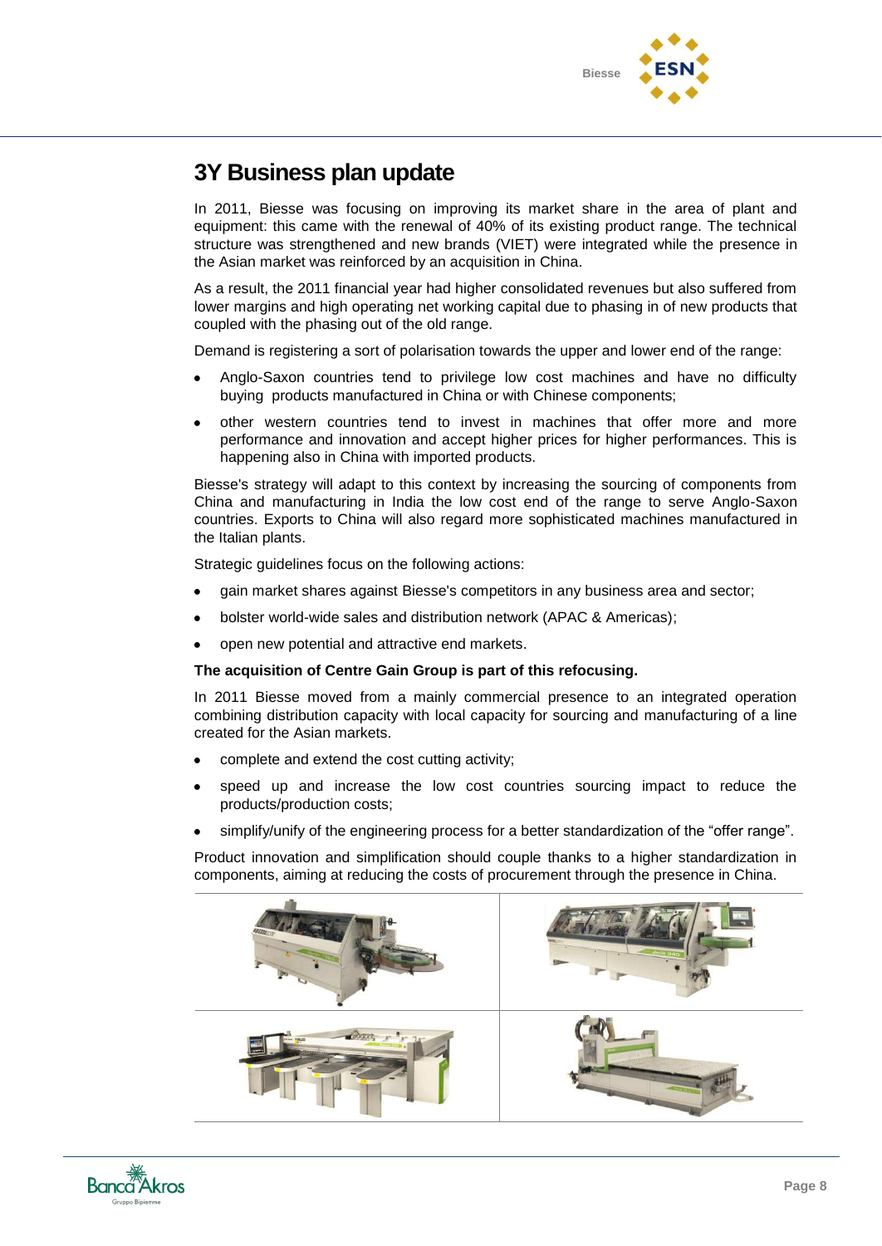

# <span id="page-7-0"></span>**3Y Business plan update**

In 2011, Biesse was focusing on improving its market share in the area of plant and equipment: this came with the renewal of 40% of its existing product range. The technical structure was strengthened and new brands (VIET) were integrated while the presence in the Asian market was reinforced by an acquisition in China.

As a result, the 2011 financial year had higher consolidated revenues but also suffered from lower margins and high operating net working capital due to phasing in of new products that coupled with the phasing out of the old range.

Demand is registering a sort of polarisation towards the upper and lower end of the range:

- Anglo-Saxon countries tend to privilege low cost machines and have no difficulty buying products manufactured in China or with Chinese components;
- other western countries tend to invest in machines that offer more and more performance and innovation and accept higher prices for higher performances. This is happening also in China with imported products.

Biesse's strategy will adapt to this context by increasing the sourcing of components from China and manufacturing in India the low cost end of the range to serve Anglo-Saxon countries. Exports to China will also regard more sophisticated machines manufactured in the Italian plants.

Strategic guidelines focus on the following actions:

- gain market shares against Biesse's competitors in any business area and sector;
- bolster world-wide sales and distribution network (APAC & Americas);
- open new potential and attractive end markets.

#### **The acquisition of Centre Gain Group is part of this refocusing.**

In 2011 Biesse moved from a mainly commercial presence to an integrated operation combining distribution capacity with local capacity for sourcing and manufacturing of a line created for the Asian markets.

- complete and extend the cost cutting activity;
- speed up and increase the low cost countries sourcing impact to reduce the products/production costs;
- simplify/unify of the engineering process for a better standardization of the "offer range".

Product innovation and simplification should couple thanks to a higher standardization in components, aiming at reducing the costs of procurement through the presence in China.



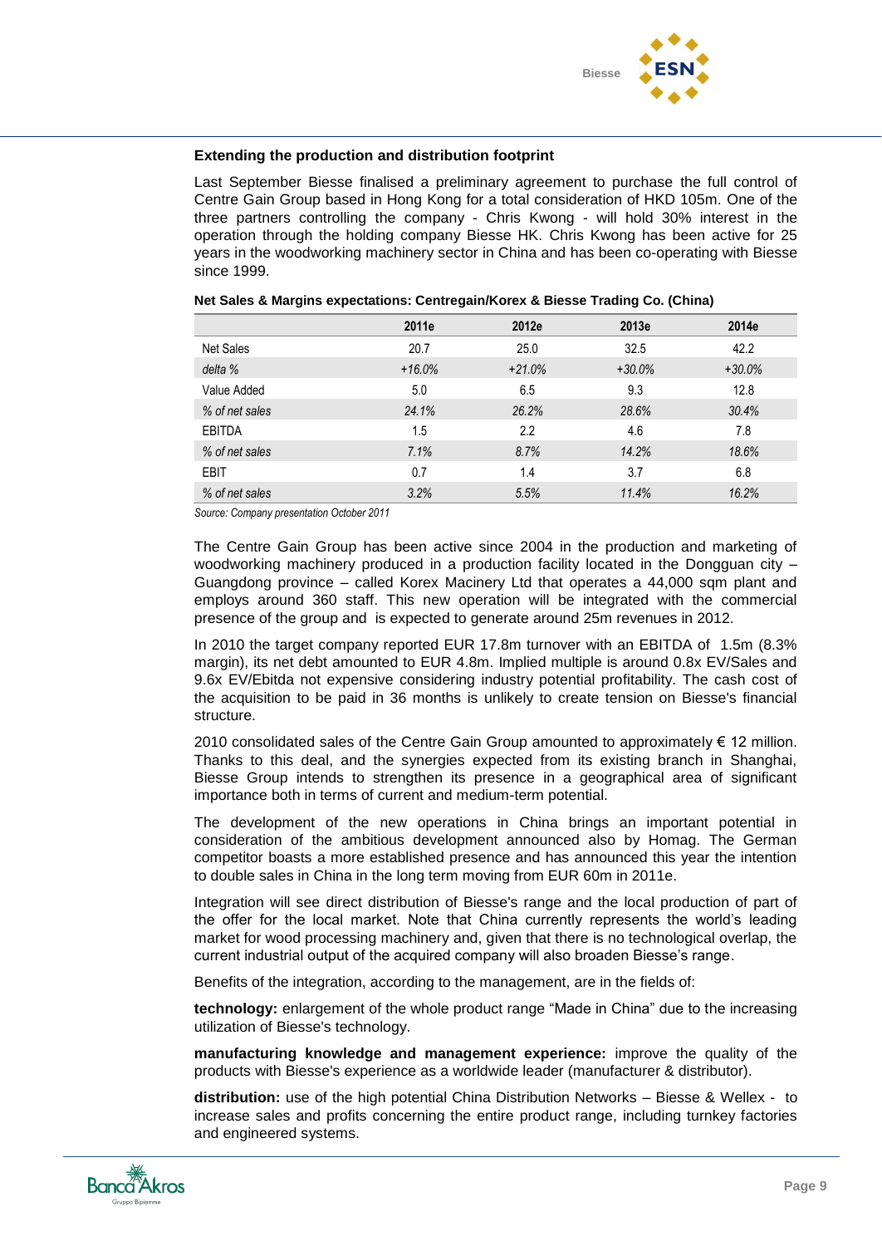

#### **Extending the production and distribution footprint**

Last September Biesse finalised a preliminary agreement to purchase the full control of Centre Gain Group based in Hong Kong for a total consideration of HKD 105m. One of the three partners controlling the company - Chris Kwong - will hold 30% interest in the operation through the holding company Biesse HK. Chris Kwong has been active for 25 years in the woodworking machinery sector in China and has been co-operating with Biesse since 1999.

|                  | 2011e    | 2012e    | 2013e    | 2014e     |
|------------------|----------|----------|----------|-----------|
| <b>Net Sales</b> | 20.7     | 25.0     | 32.5     | 42.2      |
| delta %          | $+16.0%$ | $+21.0%$ | $+30.0%$ | $+30.0\%$ |
| Value Added      | 5.0      | 6.5      | 9.3      | 12.8      |
| % of net sales   | 24.1%    | 26.2%    | 28.6%    | 30.4%     |
| EBITDA           | 1.5      | 2.2      | 4.6      | 7.8       |
| % of net sales   | 7.1%     | 8.7%     | 14.2%    | 18.6%     |
| <b>EBIT</b>      | 0.7      | 1.4      | 3.7      | 6.8       |
| % of net sales   | 3.2%     | 5.5%     | 11.4%    | 16.2%     |

#### **Net Sales & Margins expectations: Centregain/Korex & Biesse Trading Co. (China)**

*Source: Company presentation October 2011*

The Centre Gain Group has been active since 2004 in the production and marketing of woodworking machinery produced in a production facility located in the Dongguan city – Guangdong province – called Korex Macinery Ltd that operates a 44,000 sqm plant and employs around 360 staff. This new operation will be integrated with the commercial presence of the group and is expected to generate around 25m revenues in 2012.

In 2010 the target company reported EUR 17.8m turnover with an EBITDA of 1.5m (8.3% margin), its net debt amounted to EUR 4.8m. Implied multiple is around 0.8x EV/Sales and 9.6x EV/Ebitda not expensive considering industry potential profitability. The cash cost of the acquisition to be paid in 36 months is unlikely to create tension on Biesse's financial structure.

2010 consolidated sales of the Centre Gain Group amounted to approximately  $\epsilon$  12 million. Thanks to this deal, and the synergies expected from its existing branch in Shanghai, Biesse Group intends to strengthen its presence in a geographical area of significant importance both in terms of current and medium-term potential.

The development of the new operations in China brings an important potential in consideration of the ambitious development announced also by Homag. The German competitor boasts a more established presence and has announced this year the intention to double sales in China in the long term moving from EUR 60m in 2011e.

Integration will see direct distribution of Biesse's range and the local production of part of the offer for the local market. Note that China currently represents the world's leading market for wood processing machinery and, given that there is no technological overlap, the current industrial output of the acquired company will also broaden Biesse's range.

Benefits of the integration, according to the management, are in the fields of:

**technology:** enlargement of the whole product range "Made in China" due to the increasing utilization of Biesse's technology.

**manufacturing knowledge and management experience:** improve the quality of the products with Biesse's experience as a worldwide leader (manufacturer & distributor).

**distribution:** use of the high potential China Distribution Networks – Biesse & Wellex - to increase sales and profits concerning the entire product range, including turnkey factories and engineered systems.

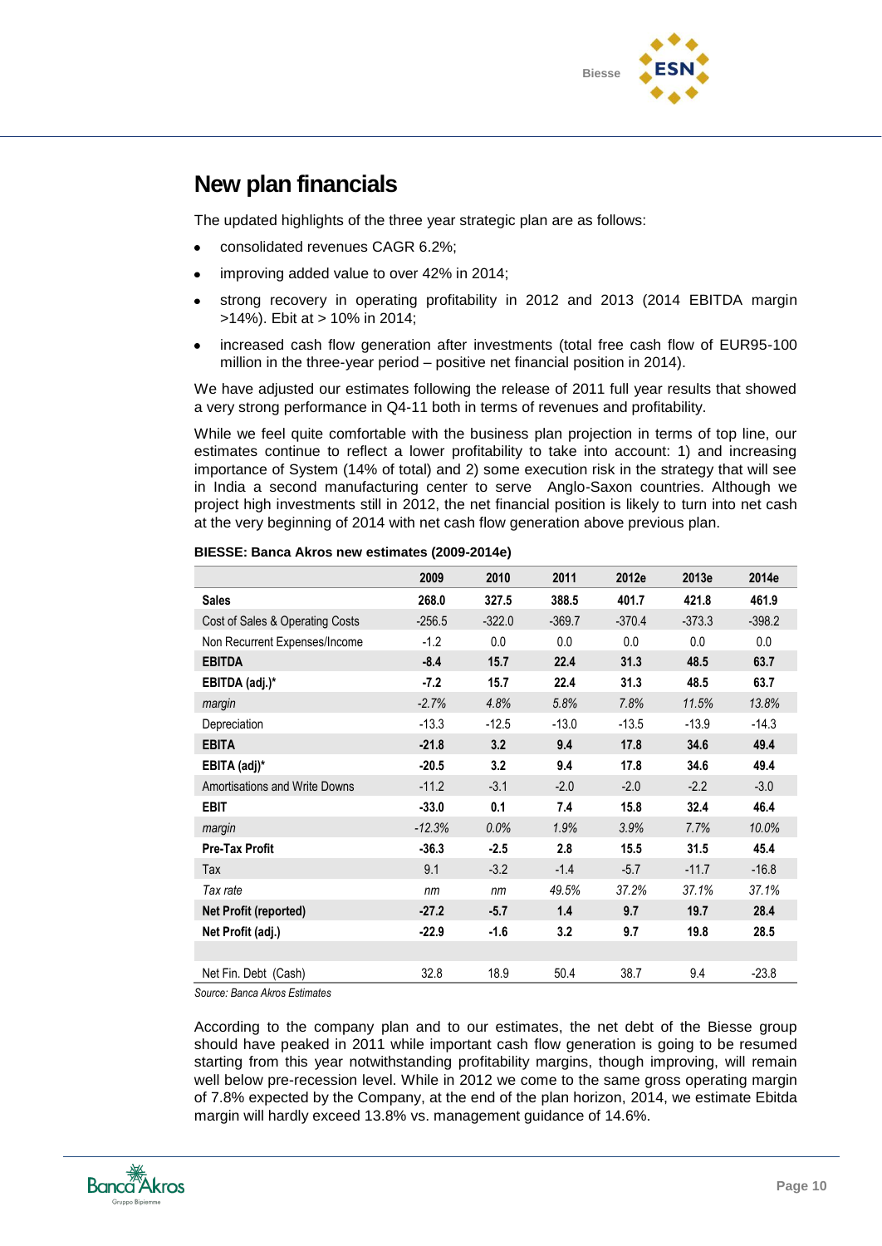

# <span id="page-9-0"></span>**New plan financials**

The updated highlights of the three year strategic plan are as follows:

- consolidated revenues CAGR 6.2%;
- improving added value to over 42% in 2014;
- strong recovery in operating profitability in 2012 and 2013 (2014 EBITDA margin  $>14\%$ ). Ebit at  $> 10\%$  in 2014:
- increased cash flow generation after investments (total free cash flow of EUR95-100 million in the three-year period – positive net financial position in 2014).

We have adjusted our estimates following the release of 2011 full year results that showed a very strong performance in Q4-11 both in terms of revenues and profitability.

While we feel quite comfortable with the business plan projection in terms of top line, our estimates continue to reflect a lower profitability to take into account: 1) and increasing importance of System (14% of total) and 2) some execution risk in the strategy that will see in India a second manufacturing center to serve Anglo-Saxon countries. Although we project high investments still in 2012, the net financial position is likely to turn into net cash at the very beginning of 2014 with net cash flow generation above previous plan.

|                                      | 2009     | 2010     | 2011     | 2012e    | 2013e    | 2014e    |
|--------------------------------------|----------|----------|----------|----------|----------|----------|
| <b>Sales</b>                         | 268.0    | 327.5    | 388.5    | 401.7    | 421.8    | 461.9    |
| Cost of Sales & Operating Costs      | $-256.5$ | $-322.0$ | $-369.7$ | $-370.4$ | $-373.3$ | $-398.2$ |
| Non Recurrent Expenses/Income        | $-1.2$   | 0.0      | 0.0      | 0.0      | 0.0      | 0.0      |
| <b>EBITDA</b>                        | $-8.4$   | 15.7     | 22.4     | 31.3     | 48.5     | 63.7     |
| EBITDA (adj.)*                       | $-7.2$   | 15.7     | 22.4     | 31.3     | 48.5     | 63.7     |
| margin                               | $-2.7%$  | 4.8%     | 5.8%     | 7.8%     | 11.5%    | 13.8%    |
| Depreciation                         | $-13.3$  | $-12.5$  | $-13.0$  | $-13.5$  | $-13.9$  | $-14.3$  |
| <b>EBITA</b>                         | $-21.8$  | 3.2      | 9.4      | 17.8     | 34.6     | 49.4     |
| EBITA (adj)*                         | $-20.5$  | 3.2      | 9.4      | 17.8     | 34.6     | 49.4     |
| <b>Amortisations and Write Downs</b> | $-11.2$  | $-3.1$   | $-2.0$   | $-2.0$   | $-2.2$   | $-3.0$   |
| <b>EBIT</b>                          | $-33.0$  | 0.1      | 7.4      | 15.8     | 32.4     | 46.4     |
| margin                               | $-12.3%$ | 0.0%     | 1.9%     | 3.9%     | 7.7%     | 10.0%    |
| <b>Pre-Tax Profit</b>                | $-36.3$  | $-2.5$   | 2.8      | 15.5     | 31.5     | 45.4     |
| Tax                                  | 9.1      | $-3.2$   | $-1.4$   | $-5.7$   | $-11.7$  | $-16.8$  |
| Tax rate                             | nm       | nm       | 49.5%    | 37.2%    | 37.1%    | 37.1%    |
| Net Profit (reported)                | $-27.2$  | $-5.7$   | 1.4      | 9.7      | 19.7     | 28.4     |
| Net Profit (adj.)                    | $-22.9$  | $-1.6$   | 3.2      | 9.7      | 19.8     | 28.5     |
|                                      |          |          |          |          |          |          |
| Net Fin. Debt (Cash)                 | 32.8     | 18.9     | 50.4     | 38.7     | 9.4      | $-23.8$  |

#### **BIESSE: Banca Akros new estimates (2009-2014e)**

*Source: Banca Akros Estimates* 

According to the company plan and to our estimates, the net debt of the Biesse group should have peaked in 2011 while important cash flow generation is going to be resumed starting from this year notwithstanding profitability margins, though improving, will remain well below pre-recession level. While in 2012 we come to the same gross operating margin of 7.8% expected by the Company, at the end of the plan horizon, 2014, we estimate Ebitda margin will hardly exceed 13.8% vs. management guidance of 14.6%.

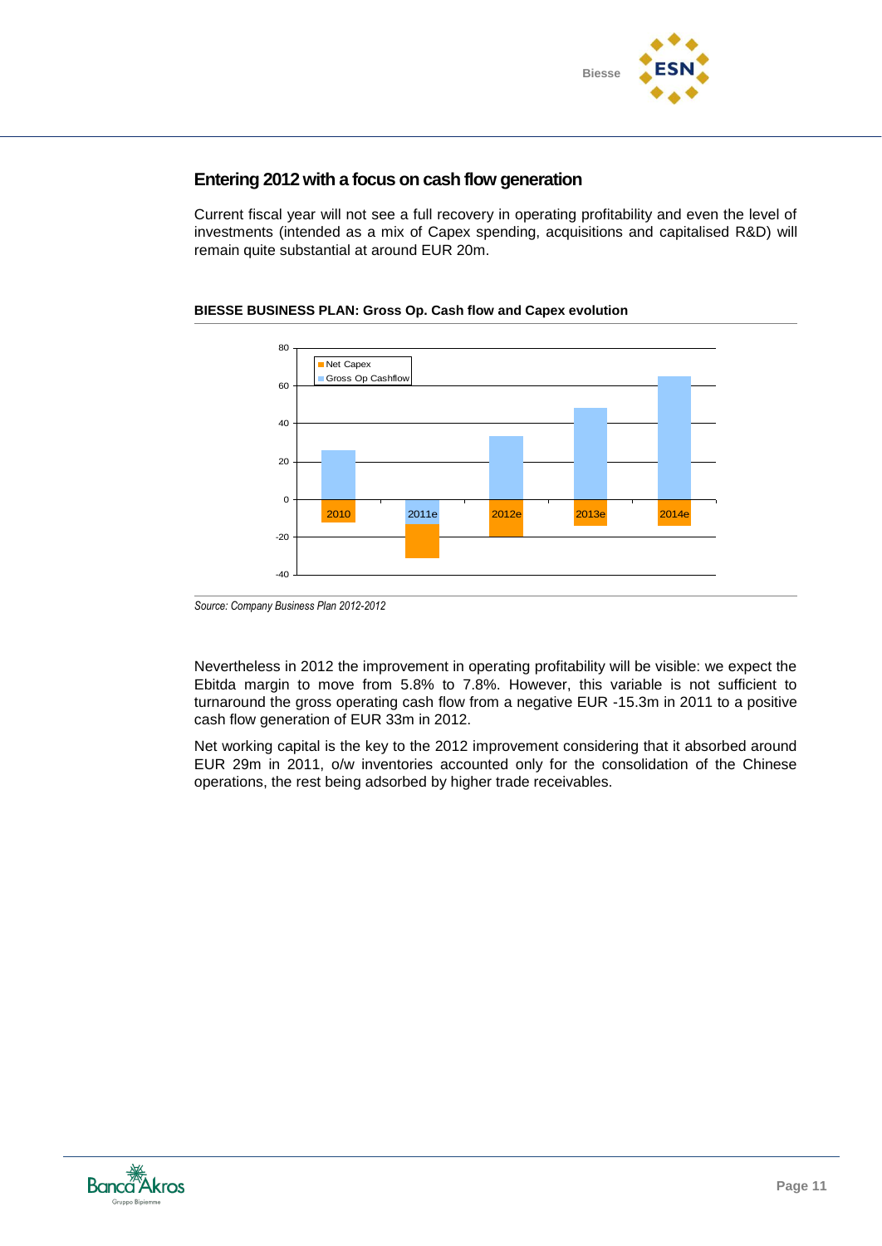

### <span id="page-10-0"></span>**Entering 2012 with a focus on cash flow generation**

Current fiscal year will not see a full recovery in operating profitability and even the level of investments (intended as a mix of Capex spending, acquisitions and capitalised R&D) will remain quite substantial at around EUR 20m.



### **BIESSE BUSINESS PLAN: Gross Op. Cash flow and Capex evolution**

Nevertheless in 2012 the improvement in operating profitability will be visible: we expect the Ebitda margin to move from 5.8% to 7.8%. However, this variable is not sufficient to turnaround the gross operating cash flow from a negative EUR -15.3m in 2011 to a positive cash flow generation of EUR 33m in 2012.

Net working capital is the key to the 2012 improvement considering that it absorbed around EUR 29m in 2011, o/w inventories accounted only for the consolidation of the Chinese operations, the rest being adsorbed by higher trade receivables.



*Source: Company Business Plan 2012-2012*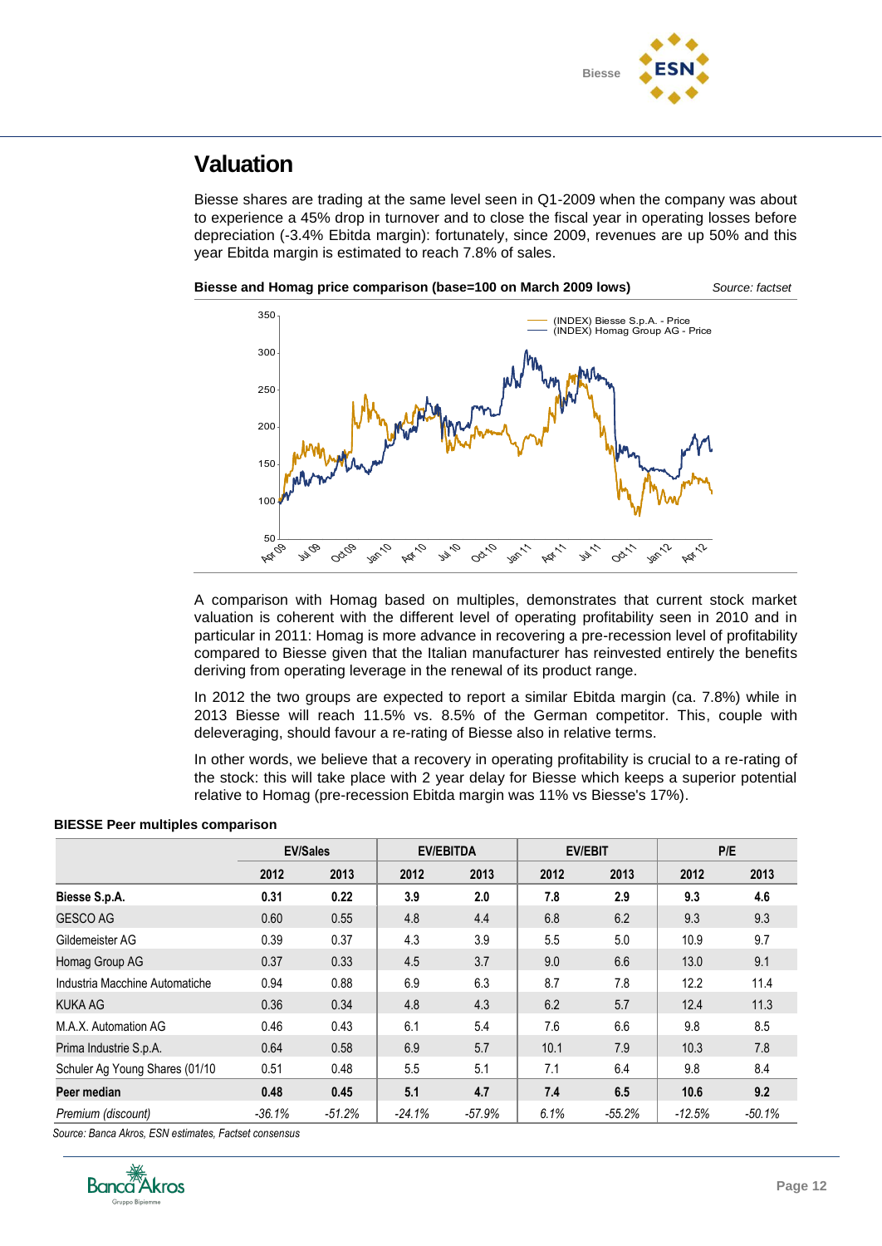

# <span id="page-11-0"></span>**Valuation**

Biesse shares are trading at the same level seen in Q1-2009 when the company was about to experience a 45% drop in turnover and to close the fiscal year in operating losses before depreciation (-3.4% Ebitda margin): fortunately, since 2009, revenues are up 50% and this year Ebitda margin is estimated to reach 7.8% of sales.





A comparison with Homag based on multiples, demonstrates that current stock market valuation is coherent with the different level of operating profitability seen in 2010 and in particular in 2011: Homag is more advance in recovering a pre-recession level of profitability compared to Biesse given that the Italian manufacturer has reinvested entirely the benefits deriving from operating leverage in the renewal of its product range.

In 2012 the two groups are expected to report a similar Ebitda margin (ca. 7.8%) while in 2013 Biesse will reach 11.5% vs. 8.5% of the German competitor. This, couple with deleveraging, should favour a re-rating of Biesse also in relative terms.

In other words, we believe that a recovery in operating profitability is crucial to a re-rating of the stock: this will take place with 2 year delay for Biesse which keeps a superior potential relative to Homag (pre-recession Ebitda margin was 11% vs Biesse's 17%).

|                                | <b>EV/Sales</b> |          |          | <b>EV/EBITDA</b> |      | <b>EV/EBIT</b> |          | P/E      |
|--------------------------------|-----------------|----------|----------|------------------|------|----------------|----------|----------|
|                                | 2012            | 2013     | 2012     | 2013             | 2012 | 2013           | 2012     | 2013     |
| Biesse S.p.A.                  | 0.31            | 0.22     | 3.9      | 2.0              | 7.8  | 2.9            | 9.3      | 4.6      |
| <b>GESCO AG</b>                | 0.60            | 0.55     | 4.8      | 4.4              | 6.8  | 6.2            | 9.3      | 9.3      |
| Gildemeister AG                | 0.39            | 0.37     | 4.3      | 3.9              | 5.5  | 5.0            | 10.9     | 9.7      |
| Homag Group AG                 | 0.37            | 0.33     | 4.5      | 3.7              | 9.0  | 6.6            | 13.0     | 9.1      |
| Industria Macchine Automatiche | 0.94            | 0.88     | 6.9      | 6.3              | 8.7  | 7.8            | 12.2     | 11.4     |
| KUKA AG                        | 0.36            | 0.34     | 4.8      | 4.3              | 6.2  | 5.7            | 12.4     | 11.3     |
| M.A.X. Automation AG           | 0.46            | 0.43     | 6.1      | 5.4              | 7.6  | 6.6            | 9.8      | 8.5      |
| Prima Industrie S.p.A.         | 0.64            | 0.58     | 6.9      | 5.7              | 10.1 | 7.9            | 10.3     | 7.8      |
| Schuler Ag Young Shares (01/10 | 0.51            | 0.48     | 5.5      | 5.1              | 7.1  | 6.4            | 9.8      | 8.4      |
| Peer median                    | 0.48            | 0.45     | 5.1      | 4.7              | 7.4  | 6.5            | 10.6     | 9.2      |
| Premium (discount)             | $-36.1%$        | $-51.2%$ | $-24.1%$ | $-57.9%$         | 6.1% | $-55.2%$       | $-12.5%$ | $-50.1%$ |

#### **BIESSE Peer multiples comparison**

*Source: Banca Akros, ESN estimates, Factset consensus* 

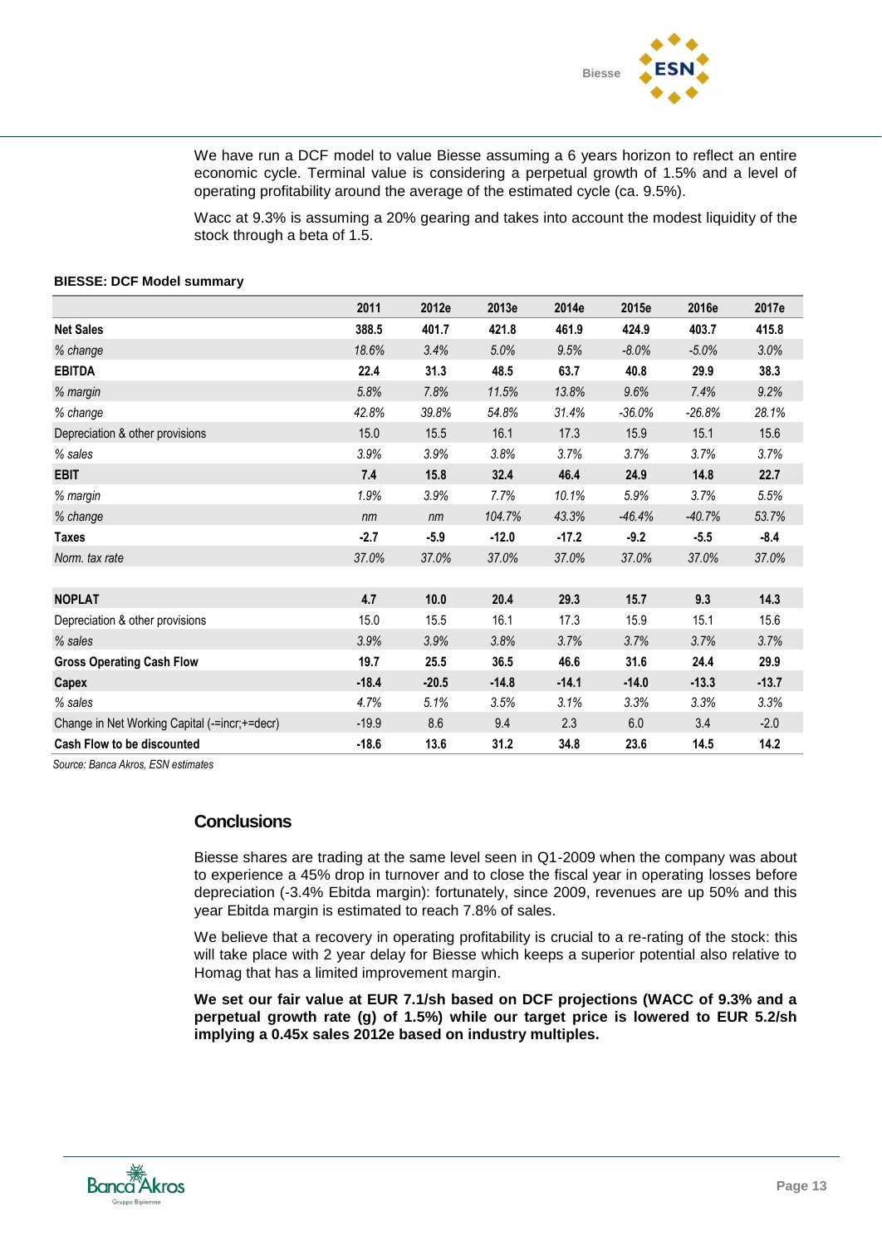

We have run a DCF model to value Biesse assuming a 6 years horizon to reflect an entire economic cycle. Terminal value is considering a perpetual growth of 1.5% and a level of operating profitability around the average of the estimated cycle (ca. 9.5%).

Wacc at 9.3% is assuming a 20% gearing and takes into account the modest liquidity of the stock through a beta of 1.5.

#### **BIESSE: DCF Model summary**

|                                               | 2011    | 2012e   | 2013e   | 2014e   | 2015e    | 2016e    | 2017e   |
|-----------------------------------------------|---------|---------|---------|---------|----------|----------|---------|
| <b>Net Sales</b>                              | 388.5   | 401.7   | 421.8   | 461.9   | 424.9    | 403.7    | 415.8   |
| % change                                      | 18.6%   | 3.4%    | 5.0%    | 9.5%    | $-8.0%$  | $-5.0%$  | 3.0%    |
| <b>EBITDA</b>                                 | 22.4    | 31.3    | 48.5    | 63.7    | 40.8     | 29.9     | 38.3    |
| % margin                                      | 5.8%    | 7.8%    | 11.5%   | 13.8%   | 9.6%     | 7.4%     | 9.2%    |
| % change                                      | 42.8%   | 39.8%   | 54.8%   | 31.4%   | $-36.0%$ | $-26.8%$ | 28.1%   |
| Depreciation & other provisions               | 15.0    | 15.5    | 16.1    | 17.3    | 15.9     | 15.1     | 15.6    |
| % sales                                       | 3.9%    | 3.9%    | 3.8%    | 3.7%    | 3.7%     | 3.7%     | 3.7%    |
| <b>EBIT</b>                                   | 7.4     | 15.8    | 32.4    | 46.4    | 24.9     | 14.8     | 22.7    |
| % margin                                      | 1.9%    | 3.9%    | 7.7%    | 10.1%   | 5.9%     | 3.7%     | 5.5%    |
| % change                                      | nm      | nm      | 104.7%  | 43.3%   | $-46.4%$ | $-40.7%$ | 53.7%   |
| <b>Taxes</b>                                  | $-2.7$  | $-5.9$  | $-12.0$ | $-17.2$ | $-9.2$   | $-5.5$   | -8.4    |
| Norm, tax rate                                | 37.0%   | 37.0%   | 37.0%   | 37.0%   | 37.0%    | 37.0%    | 37.0%   |
|                                               |         |         |         |         |          |          |         |
| <b>NOPLAT</b>                                 | 4.7     | 10.0    | 20.4    | 29.3    | 15.7     | 9.3      | 14.3    |
| Depreciation & other provisions               | 15.0    | 15.5    | 16.1    | 17.3    | 15.9     | 15.1     | 15.6    |
| % sales                                       | 3.9%    | 3.9%    | 3.8%    | 3.7%    | 3.7%     | 3.7%     | 3.7%    |
| <b>Gross Operating Cash Flow</b>              | 19.7    | 25.5    | 36.5    | 46.6    | 31.6     | 24.4     | 29.9    |
| Capex                                         | $-18.4$ | $-20.5$ | $-14.8$ | $-14.1$ | $-14.0$  | $-13.3$  | $-13.7$ |
| % sales                                       | 4.7%    | 5.1%    | 3.5%    | 3.1%    | 3.3%     | 3.3%     | 3.3%    |
| Change in Net Working Capital (-=incr;+=decr) | $-19.9$ | 8.6     | 9.4     | 2.3     | 6.0      | 3.4      | $-2.0$  |
| Cash Flow to be discounted                    | $-18.6$ | 13.6    | 31.2    | 34.8    | 23.6     | 14.5     | 14.2    |

<span id="page-12-0"></span>*Source: Banca Akros, ESN estimates* 

### **Conclusions**

Biesse shares are trading at the same level seen in Q1-2009 when the company was about to experience a 45% drop in turnover and to close the fiscal year in operating losses before depreciation (-3.4% Ebitda margin): fortunately, since 2009, revenues are up 50% and this year Ebitda margin is estimated to reach 7.8% of sales.

We believe that a recovery in operating profitability is crucial to a re-rating of the stock: this will take place with 2 year delay for Biesse which keeps a superior potential also relative to Homag that has a limited improvement margin.

**We set our fair value at EUR 7.1/sh based on DCF projections (WACC of 9.3% and a perpetual growth rate (g) of 1.5%) while our target price is lowered to EUR 5.2/sh implying a 0.45x sales 2012e based on industry multiples.** 

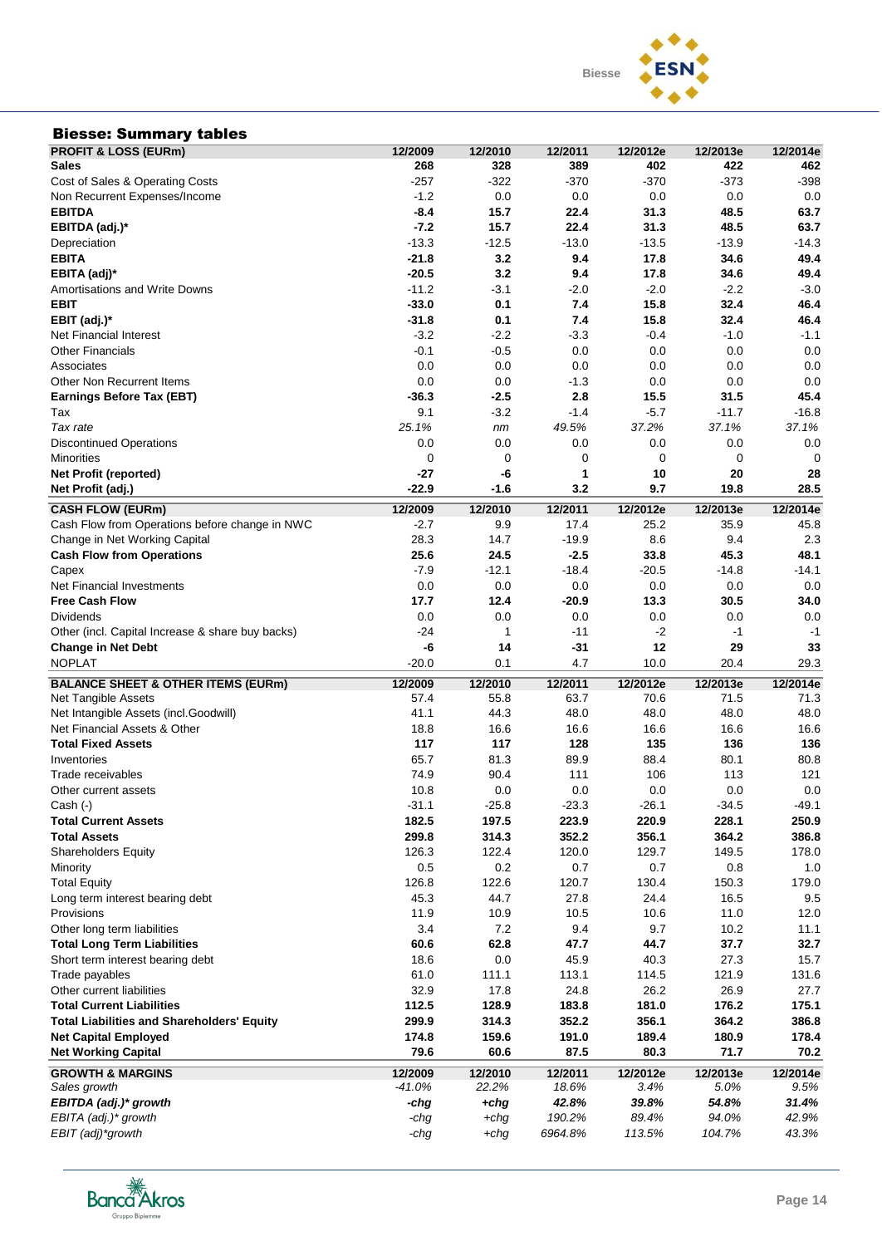

### Biesse: Summary tables

| <b>PROFIT &amp; LOSS (EURm)</b>                   | 12/2009            | 12/2010          | 12/2011           | 12/2012e        | 12/2013e        | 12/2014e       |
|---------------------------------------------------|--------------------|------------------|-------------------|-----------------|-----------------|----------------|
| <b>Sales</b>                                      | 268                | 328              | 389               | 402             | 422             | 462            |
| Cost of Sales & Operating Costs                   | $-257$             | $-322$           | $-370$            | $-370$          | $-373$          | $-398$         |
| Non Recurrent Expenses/Income                     | $-1.2$             | 0.0              | 0.0               | 0.0             | 0.0             | 0.0            |
| <b>EBITDA</b>                                     | $-8.4$             | 15.7             | 22.4              | 31.3            | 48.5            | 63.7           |
| EBITDA (adj.)*                                    | $-7.2$             | 15.7             | 22.4              | 31.3            | 48.5            | 63.7           |
| Depreciation                                      | $-13.3$            | $-12.5$          | $-13.0$           | $-13.5$         | $-13.9$         | $-14.3$        |
| <b>EBITA</b>                                      | $-21.8$            | 3.2              | 9.4               | 17.8            | 34.6            | 49.4           |
| EBITA (adj)*                                      | $-20.5$            | 3.2              | 9.4               | 17.8            | 34.6            | 49.4           |
| <b>Amortisations and Write Downs</b>              | $-11.2$            | $-3.1$           | $-2.0$            | $-2.0$          | $-2.2$          | $-3.0$         |
| <b>EBIT</b><br>EBIT (adj.)*                       | $-33.0$<br>$-31.8$ | 0.1<br>0.1       | 7.4<br>7.4        | 15.8<br>15.8    | 32.4<br>32.4    | 46.4<br>46.4   |
| Net Financial Interest                            | $-3.2$             | $-2.2$           | $-3.3$            | $-0.4$          | $-1.0$          | $-1.1$         |
| <b>Other Financials</b>                           | $-0.1$             | $-0.5$           | 0.0               | 0.0             | 0.0             | 0.0            |
| Associates                                        | 0.0                | 0.0              | 0.0               | 0.0             | 0.0             | 0.0            |
| Other Non Recurrent Items                         | 0.0                | 0.0              | $-1.3$            | 0.0             | 0.0             | 0.0            |
| Earnings Before Tax (EBT)                         | $-36.3$            | -2.5             | 2.8               | 15.5            | 31.5            | 45.4           |
| Tax                                               | 9.1                | $-3.2$           | $-1.4$            | $-5.7$          | $-11.7$         | $-16.8$        |
| Tax rate                                          | 25.1%              | nm               | 49.5%             | 37.2%           | 37.1%           | 37.1%          |
| <b>Discontinued Operations</b>                    | 0.0                | 0.0              | 0.0               | 0.0             | 0.0             | 0.0            |
| <b>Minorities</b>                                 | 0                  | 0                | $\mathbf 0$       | 0               | 0               | 0              |
| <b>Net Profit (reported)</b>                      | $-27$              | -6               | 1                 | 10              | 20              | 28             |
| Net Profit (adj.)                                 | $-22.9$            | $-1.6$           | 3.2               | 9.7             | 19.8            | 28.5           |
| <b>CASH FLOW (EURm)</b>                           | 12/2009            | 12/2010          | 12/2011           | 12/2012e        | 12/2013e        | 12/2014e       |
| Cash Flow from Operations before change in NWC    | $-2.7$             | 9.9              | 17.4              | 25.2            | 35.9            | 45.8           |
| Change in Net Working Capital                     | 28.3               | 14.7             | $-19.9$           | 8.6             | 9.4             | 2.3            |
| <b>Cash Flow from Operations</b>                  | 25.6               | 24.5             | $-2.5$            | 33.8            | 45.3            | 48.1           |
| Capex                                             | $-7.9$             | $-12.1$          | $-18.4$           | $-20.5$         | $-14.8$         | $-14.1$        |
| Net Financial Investments                         | 0.0                | 0.0              | 0.0               | 0.0             | 0.0             | 0.0            |
| <b>Free Cash Flow</b>                             | 17.7               | 12.4             | -20.9             | 13.3            | 30.5            | 34.0           |
| <b>Dividends</b>                                  | 0.0                | 0.0              | 0.0               | 0.0             | 0.0             | 0.0            |
| Other (incl. Capital Increase & share buy backs)  | $-24$              | 1                | -11               | -2              | -1              | -1             |
| <b>Change in Net Debt</b>                         | -6                 | 14               | $-31$             | 12              | 29              | 33             |
| <b>NOPLAT</b>                                     | $-20.0$            | 0.1              | 4.7               | 10.0            | 20.4            | 29.3           |
| <b>BALANCE SHEET &amp; OTHER ITEMS (EURm)</b>     | 12/2009            | 12/2010          | 12/2011           | 12/2012e        | 12/2013e        | 12/2014e       |
| Net Tangible Assets                               | 57.4               | 55.8             | 63.7              | 70.6            | 71.5            | 71.3           |
| Net Intangible Assets (incl.Goodwill)             | 41.1               | 44.3             | 48.0              | 48.0            | 48.0            | 48.0           |
| Net Financial Assets & Other                      | 18.8               | 16.6             | 16.6              | 16.6            | 16.6            | 16.6           |
| <b>Total Fixed Assets</b><br>Inventories          | 117                | 117              | 128               | 135             | 136             | 136            |
|                                                   |                    |                  |                   |                 |                 |                |
|                                                   | 65.7               | 81.3             | 89.9              | 88.4            | 80.1            | 80.8           |
| Trade receivables                                 | 74.9               | 90.4             | 111               | 106             | 113             | 121            |
| Other current assets                              | 10.8               | 0.0              | 0.0               | 0.0             | 0.0             | 0.0            |
| Cash (-)                                          | $-31.1$            | $-25.8$          | $-23.3$           | $-26.1$         | $-34.5$         | $-49.1$        |
| <b>Total Current Assets</b>                       | 182.5              | 197.5            | 223.9             | 220.9           | 228.1           | 250.9          |
| <b>Total Assets</b>                               | 299.8              | 314.3            | 352.2             | 356.1           | 364.2           | 386.8          |
| <b>Shareholders Equity</b>                        | 126.3              | 122.4            | 120.0<br>0.7      | 129.7<br>0.7    | 149.5<br>0.8    | 178.0          |
| Minority<br><b>Total Equity</b>                   | 0.5<br>126.8       | 0.2<br>122.6     |                   | 130.4           | 150.3           | 1.0            |
| Long term interest bearing debt                   | 45.3               | 44.7             | 120.7<br>27.8     | 24.4            | 16.5            | 179.0<br>9.5   |
| Provisions                                        | 11.9               | 10.9             | 10.5              | 10.6            | 11.0            | 12.0           |
| Other long term liabilities                       | 3.4                | 7.2              | 9.4               | 9.7             | 10.2            | 11.1           |
| <b>Total Long Term Liabilities</b>                | 60.6               | 62.8             | 47.7              | 44.7            | 37.7            | 32.7           |
| Short term interest bearing debt                  | 18.6               | 0.0              | 45.9              | 40.3            | 27.3            | 15.7           |
| Trade payables                                    | 61.0               | 111.1            | 113.1             | 114.5           | 121.9           | 131.6          |
| Other current liabilities                         | 32.9               | 17.8             | 24.8              | 26.2            | 26.9            | 27.7           |
| <b>Total Current Liabilities</b>                  | 112.5              | 128.9            | 183.8             | 181.0           | 176.2           | 175.1          |
| <b>Total Liabilities and Shareholders' Equity</b> | 299.9              | 314.3            | 352.2             | 356.1           | 364.2           | 386.8          |
| <b>Net Capital Employed</b>                       | 174.8              | 159.6            | 191.0             | 189.4           | 180.9           | 178.4          |
| <b>Net Working Capital</b>                        | 79.6               | 60.6             | 87.5              | 80.3            | 71.7            | 70.2           |
| <b>GROWTH &amp; MARGINS</b>                       | 12/2009            | 12/2010          | 12/2011           | 12/2012e        | 12/2013e        | 12/2014e       |
| Sales growth                                      | -41.0%             | 22.2%            | 18.6%             | 3.4%            | 5.0%            | 9.5%           |
| EBITDA (adj.)* growth                             | -chg               | $+chg$           | 42.8%             | 39.8%           | 54.8%           | 31.4%          |
| EBITA (adj.)* growth<br>EBIT (adj)*growth         | -chg<br>-chg       | $+chg$<br>$+chg$ | 190.2%<br>6964.8% | 89.4%<br>113.5% | 94.0%<br>104.7% | 42.9%<br>43.3% |

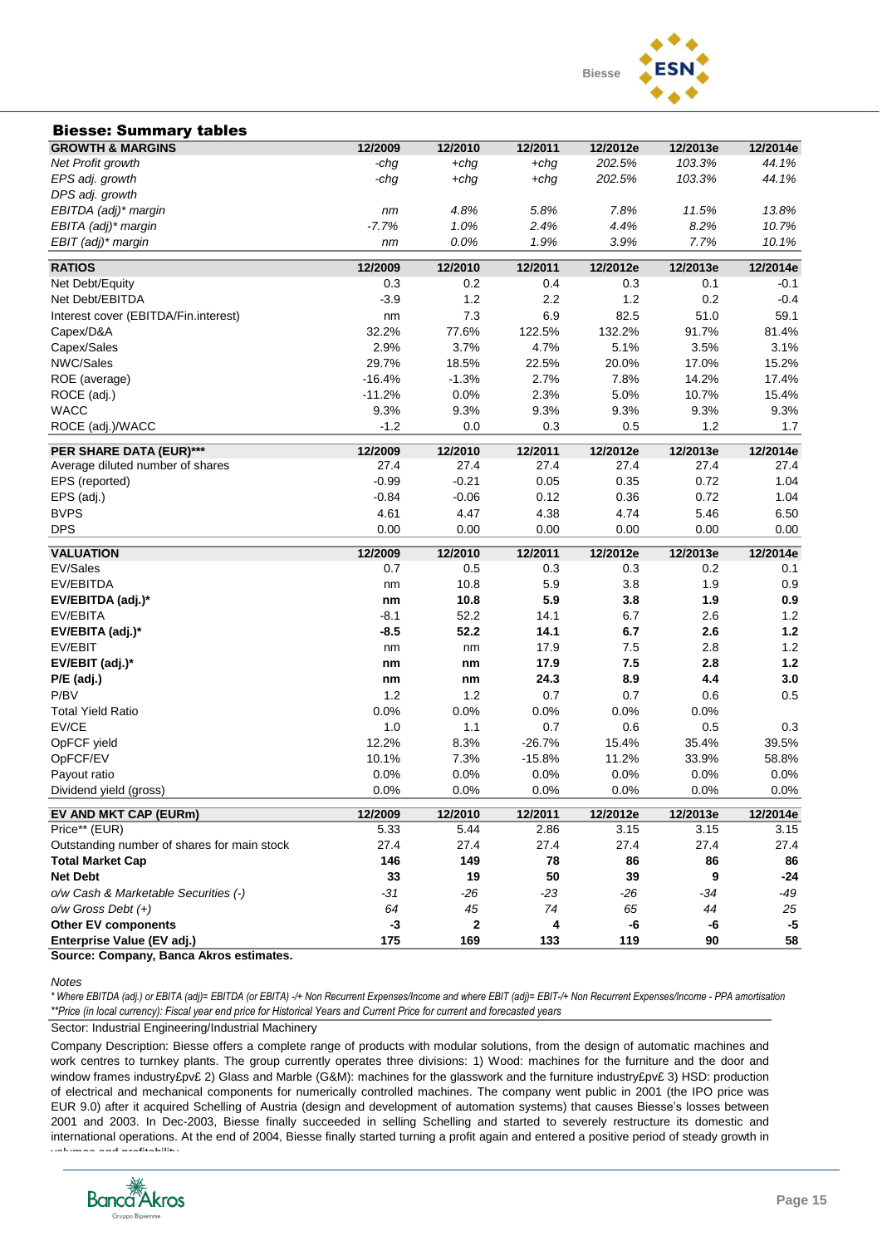

| <b>Biesse: Summary tables</b>               |                 |                 |                 |                  |                  |                  |
|---------------------------------------------|-----------------|-----------------|-----------------|------------------|------------------|------------------|
| <b>GROWTH &amp; MARGINS</b>                 | 12/2009         | 12/2010         | 12/2011         | 12/2012e         | 12/2013e         | 12/2014e         |
| Net Profit growth                           | $-chq$          | $+chg$          | $+chg$          | 202.5%           | 103.3%           | 44.1%            |
| EPS adj. growth                             | -chg            | $+chq$          | $+chg$          | 202.5%           | 103.3%           | 44.1%            |
| DPS adj. growth                             |                 |                 |                 |                  |                  |                  |
| EBITDA (adj)* margin                        | nm              | 4.8%            | 5.8%            | 7.8%             | 11.5%            | 13.8%            |
| EBITA (adj)* margin                         | $-7.7%$         | 1.0%            | 2.4%            | 4.4%             | 8.2%             | 10.7%            |
| EBIT (adj)* margin                          | nm              | 0.0%            | 1.9%            | 3.9%             | 7.7%             | 10.1%            |
| <b>RATIOS</b>                               | 12/2009         | 12/2010         | 12/2011         | 12/2012e         | 12/2013e         | 12/2014e         |
| Net Debt/Equity                             | 0.3             | 0.2             | 0.4             | 0.3              | 0.1              | $-0.1$           |
| Net Debt/EBITDA                             | $-3.9$          | 1.2             | 2.2             | 1.2              | 0.2              | $-0.4$           |
| Interest cover (EBITDA/Fin.interest)        | nm              | 7.3             | 6.9             | 82.5             | 51.0             | 59.1             |
| Capex/D&A                                   | 32.2%           | 77.6%           | 122.5%          | 132.2%           | 91.7%            | 81.4%            |
| Capex/Sales                                 | 2.9%            | 3.7%            | 4.7%            | 5.1%             | 3.5%             | 3.1%             |
| NWC/Sales                                   | 29.7%           | 18.5%           | 22.5%           | 20.0%            | 17.0%            | 15.2%            |
| ROE (average)                               | $-16.4%$        | $-1.3%$         | 2.7%            | 7.8%             | 14.2%            | 17.4%            |
| ROCE (adj.)                                 | $-11.2%$        | 0.0%            | 2.3%            | 5.0%             | 10.7%            | 15.4%            |
| <b>WACC</b>                                 | 9.3%            | 9.3%            | 9.3%            | 9.3%             | 9.3%             | 9.3%             |
| ROCE (adj.)/WACC                            | $-1.2$          | 0.0             | 0.3             | 0.5              | 1.2              | 1.7              |
|                                             |                 |                 |                 |                  |                  |                  |
| <b>PER SHARE DATA (EUR)***</b>              | 12/2009         | 12/2010         | 12/2011         | 12/2012e         | 12/2013e         | 12/2014e         |
| Average diluted number of shares            | 27.4            | 27.4            | 27.4            | 27.4             | 27.4             | 27.4             |
| EPS (reported)                              | $-0.99$         | $-0.21$         | 0.05            | 0.35             | 0.72             | 1.04             |
| EPS (adj.)                                  | $-0.84$         | $-0.06$         | 0.12            | 0.36             | 0.72             | 1.04             |
| <b>BVPS</b>                                 | 4.61            | 4.47            | 4.38            | 4.74             | 5.46             | 6.50             |
| <b>DPS</b>                                  | 0.00            | 0.00            | 0.00            | 0.00             | 0.00             | 0.00             |
|                                             |                 |                 |                 |                  |                  |                  |
| <b>VALUATION</b>                            | 12/2009         | 12/2010         | 12/2011         | 12/2012e         | 12/2013e         | 12/2014e         |
| EV/Sales                                    | 0.7             | 0.5             | 0.3             | 0.3              | 0.2              | 0.1              |
| EV/EBITDA                                   | nm              | 10.8            | 5.9             | 3.8              | 1.9              | 0.9              |
| EV/EBITDA (adj.)*                           | nm              | 10.8            | 5.9             | 3.8              | 1.9              | 0.9              |
| EV/EBITA                                    | -8.1            | 52.2            | 14.1            | 6.7              | 2.6              | $1.2$            |
| EV/EBITA (adj.)*                            | $-8.5$          | 52.2            | 14.1            | 6.7              | 2.6              | $1.2$            |
| EV/EBIT                                     | nm              | nm              | 17.9            | 7.5              | 2.8              | 1.2              |
| EV/EBIT (adj.)*                             | nm              | nm              | 17.9            | 7.5              | 2.8              | $1.2$            |
| P/E (adj.)                                  | nm              | nm              | 24.3            | 8.9              | 4.4              | 3.0              |
| P/BV                                        | 1.2             | 1.2             | 0.7             | 0.7              | 0.6              | 0.5              |
| <b>Total Yield Ratio</b>                    | 0.0%            | 0.0%            | 0.0%            | 0.0%             | 0.0%             |                  |
| EV/CE                                       | 1.0             | 1.1             | 0.7             | 0.6              | 0.5              | 0.3              |
| OpFCF yield                                 | 12.2%           | 8.3%            | $-26.7%$        | 15.4%            | 35.4%            | 39.5%            |
| OpFCF/EV                                    | 10.1%           | 7.3%            | $-15.8%$        | 11.2%            | 33.9%            | 58.8%            |
| Payout ratio                                | 0.0%            | 0.0%            | 0.0%            | 0.0%             | 0.0%             | 0.0%             |
| Dividend yield (gross)                      | 0.0%            | 0.0%            | 0.0%            | 0.0%             | 0.0%             | 0.0%             |
|                                             |                 |                 |                 |                  |                  |                  |
| EV AND MKT CAP (EURm)<br>Price** (EUR)      | 12/2009<br>5.33 | 12/2010<br>5.44 | 12/2011<br>2.86 | 12/2012e<br>3.15 | 12/2013e<br>3.15 | 12/2014e<br>3.15 |
| Outstanding number of shares for main stock | 27.4            | 27.4            | 27.4            | 27.4             | 27.4             |                  |
| <b>Total Market Cap</b>                     | 146             | 149             | 78              | 86               | 86               | 27.4<br>86       |
| <b>Net Debt</b>                             | 33              | 19              | 50              | 39               | 9                | $-24$            |
| o/w Cash & Marketable Securities (-)        | $-31$           | $-26$           | $-23$           | $-26$            | $-34$            | -49              |
| $o/w$ Gross Debt $(+)$                      | 64              | 45              | 74              | 65               | 44               | 25               |
| <b>Other EV components</b>                  | -3              | 2               | 4               | -6               | -6               | $-5$             |

**Source: Company, Banca Akros estimates.** 

#### *Notes*

*\* Where EBITDA (adj.) or EBITA (adj)= EBITDA (or EBITA) -/+ Non Recurrent Expenses/Income and where EBIT (adj)= EBIT-/+ Non Recurrent Expenses/Income - PPA amortisation \*\*Price (in local currency): Fiscal year end price for Historical Years and Current Price for current and forecasted years*

Sector: Industrial Engineering/Industrial Machinery

Company Description: Biesse offers a complete range of products with modular solutions, from the design of automatic machines and work centres to turnkey plants. The group currently operates three divisions: 1) Wood: machines for the furniture and the door and window frames industry£pv£ 2) Glass and Marble (G&M): machines for the glasswork and the furniture industry£pv£ 3) HSD: production of electrical and mechanical components for numerically controlled machines. The company went public in 2001 (the IPO price was EUR 9.0) after it acquired Schelling of Austria (design and development of automation systems) that causes Biesse's losses between 2001 and 2003. In Dec-2003, Biesse finally succeeded in selling Schelling and started to severely restructure its domestic and international operations. At the end of 2004, Biesse finally started turning a profit again and entered a positive period of steady growth in volumes and profitability.

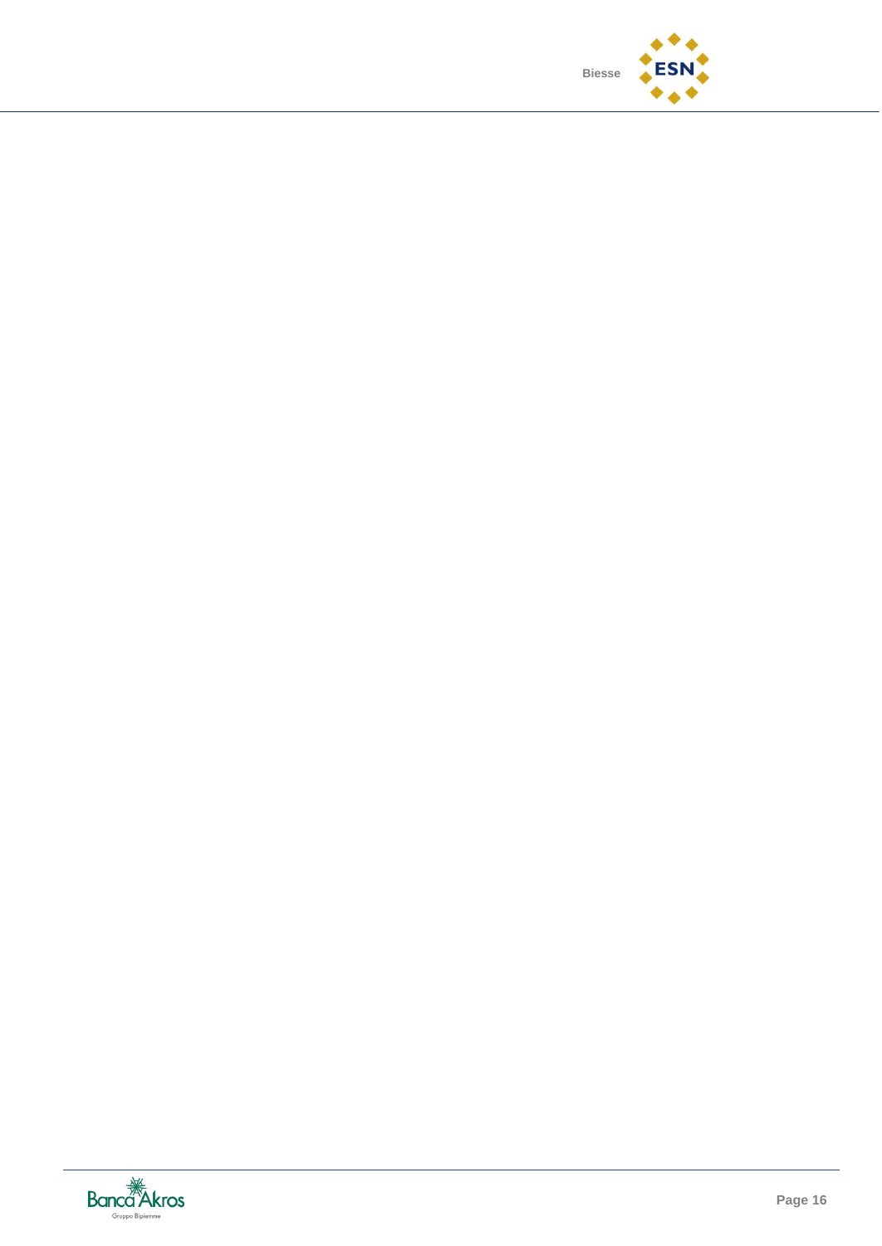<span id="page-15-0"></span>

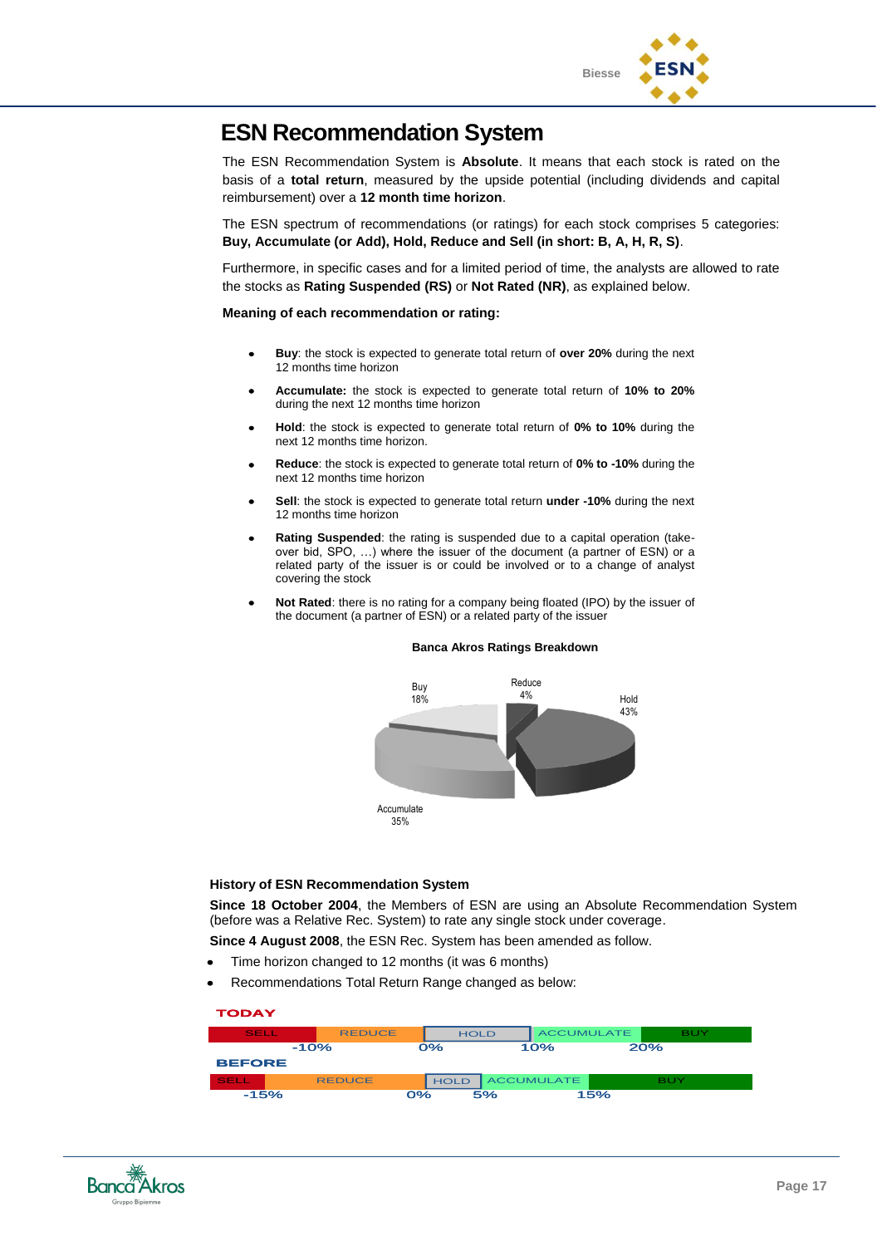

# **ESN Recommendation System**

The ESN Recommendation System is **Absolute**. It means that each stock is rated on the basis of a **total return**, measured by the upside potential (including dividends and capital reimbursement) over a **12 month time horizon**.

The ESN spectrum of recommendations (or ratings) for each stock comprises 5 categories: **Buy, Accumulate (or Add), Hold, Reduce and Sell (in short: B, A, H, R, S)**.

Furthermore, in specific cases and for a limited period of time, the analysts are allowed to rate the stocks as **Rating Suspended (RS)** or **Not Rated (NR)**, as explained below.

#### **Meaning of each recommendation or rating:**

- **Buy**: the stock is expected to generate total return of **over 20%** during the next 12 months time horizon
- **Accumulate:** the stock is expected to generate total return of **10% to 20%** during the next 12 months time horizon
- **Hold**: the stock is expected to generate total return of **0% to 10%** during the next 12 months time horizon.
- **Reduce**: the stock is expected to generate total return of **0% to -10%** during the next 12 months time horizon
- $\bullet$ **Sell**: the stock is expected to generate total return **under -10%** during the next 12 months time horizon
- **Rating Suspended**: the rating is suspended due to a capital operation (takeover bid, SPO, …) where the issuer of the document (a partner of ESN) or a related party of the issuer is or could be involved or to a change of analyst covering the stock
- **Not Rated**: there is no rating for a company being floated (IPO) by the issuer of the document (a partner of ESN) or a related party of the issuer

#### **Banca Akros Ratings Breakdown**



#### **History of ESN Recommendation System**

**Since 18 October 2004**, the Members of ESN are using an Absolute Recommendation System (before was a Relative Rec. System) to rate any single stock under coverage.

**Since 4 August 2008**, the ESN Rec. System has been amended as follow.

- Time horizon changed to 12 months (it was 6 months)
- Recommendations Total Return Range changed as below:

#### **TODAY**

| <b>SELL</b>   |        | <b>REDUCE</b> |       | <b>HOLD</b> |    | <b>ACCUMULATE</b> |     | <b>BUY</b> |  |
|---------------|--------|---------------|-------|-------------|----|-------------------|-----|------------|--|
|               | $-10%$ |               |       | $O\%$       |    | 10%               |     | 20%        |  |
| <b>BEFORE</b> |        |               |       |             |    |                   |     |            |  |
| <b>SELL</b>   |        | <b>REDUCE</b> |       | <b>HOLD</b> |    | <b>ACCUMULATE</b> |     | <b>BUY</b> |  |
| $-15%$        |        |               | $O\%$ |             | 5% |                   | 15% |            |  |

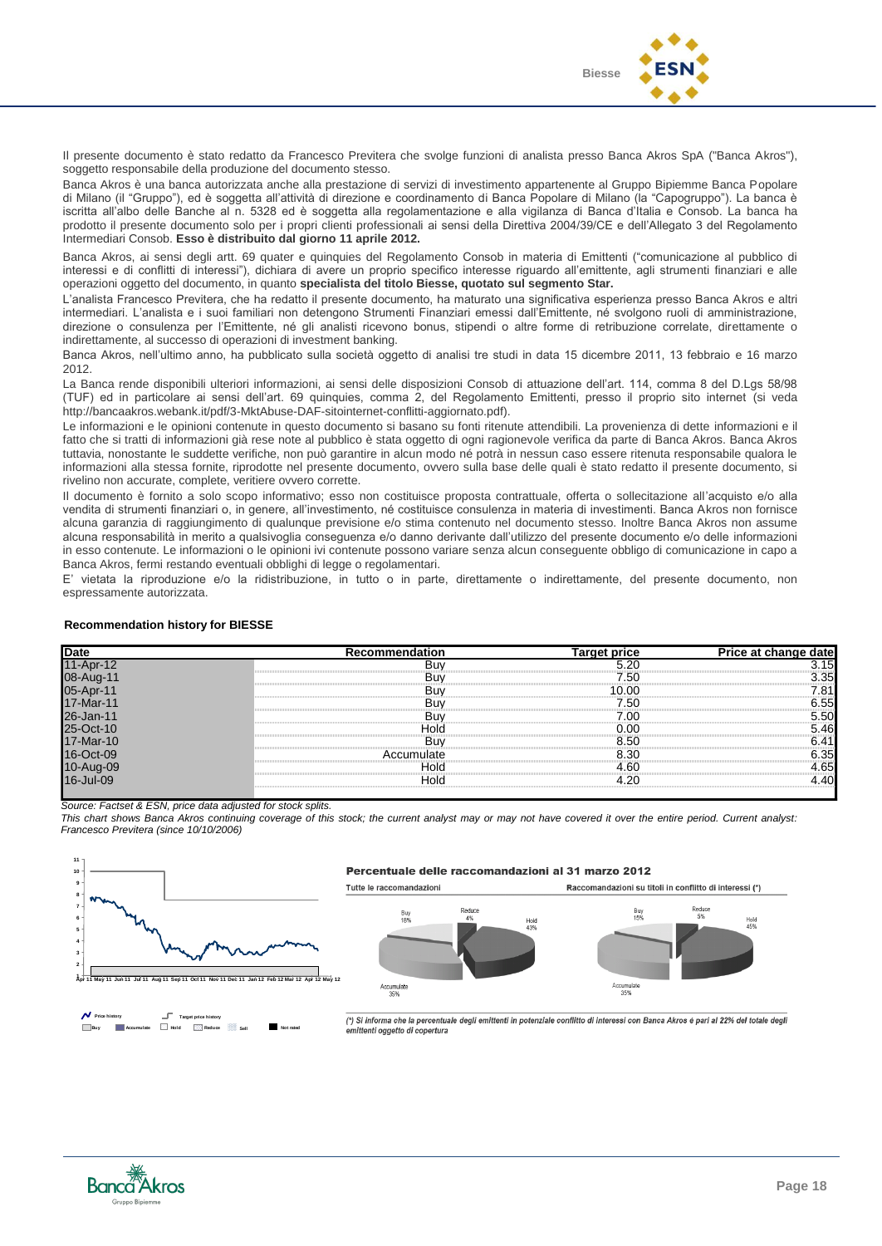

Il presente documento è stato redatto da Francesco Previtera che svolge funzioni di analista presso Banca Akros SpA ("Banca Akros"), soggetto responsabile della produzione del documento stesso.

Banca Akros è una banca autorizzata anche alla prestazione di servizi di investimento appartenente al Gruppo Bipiemme Banca Popolare di Milano (il "Gruppo"), ed è soggetta all'attività di direzione e coordinamento di Banca Popolare di Milano (la "Capogruppo"). La banca è iscritta all'albo delle Banche al n. 5328 ed è soggetta alla regolamentazione e alla vigilanza di Banca d'Italia e Consob. La banca ha prodotto il presente documento solo per i propri clienti professionali ai sensi della Direttiva 2004/39/CE e dell'Allegato 3 del Regolamento Intermediari Consob. **Esso è distribuito dal giorno 11 aprile 2012.**

Banca Akros, ai sensi degli artt. 69 quater e quinquies del Regolamento Consob in materia di Emittenti ("comunicazione al pubblico di interessi e di conflitti di interessi"), dichiara di avere un proprio specifico interesse riguardo all'emittente, agli strumenti finanziari e alle operazioni oggetto del documento, in quanto **specialista del titolo Biesse, quotato sul segmento Star.** 

L'analista Francesco Previtera, che ha redatto il presente documento, ha maturato una significativa esperienza presso Banca Akros e altri intermediari. L'analista e i suoi familiari non detengono Strumenti Finanziari emessi dall'Emittente, né svolgono ruoli di amministrazione, direzione o consulenza per l'Emittente, né gli analisti ricevono bonus, stipendi o altre forme di retribuzione correlate, direttamente o indirettamente, al successo di operazioni di investment banking.

Banca Akros, nell'ultimo anno, ha pubblicato sulla società oggetto di analisi tre studi in data 15 dicembre 2011, 13 febbraio e 16 marzo 2012.

La Banca rende disponibili ulteriori informazioni, ai sensi delle disposizioni Consob di attuazione dell'art. 114, comma 8 del D.Lgs 58/98 (TUF) ed in particolare ai sensi dell'art. 69 quinquies, comma 2, del Regolamento Emittenti, presso il proprio sito internet (si veda http://bancaakros.webank.it/pdf/3-MktAbuse-DAF-sitointernet-conflitti-aggiornato.pdf).

Le informazioni e le opinioni contenute in questo documento si basano su fonti ritenute attendibili. La provenienza di dette informazioni e il fatto che si tratti di informazioni già rese note al pubblico è stata oggetto di ogni ragionevole verifica da parte di Banca Akros. Banca Akros tuttavia, nonostante le suddette verifiche, non può garantire in alcun modo né potrà in nessun caso essere ritenuta responsabile qualora le informazioni alla stessa fornite, riprodotte nel presente documento, ovvero sulla base delle quali è stato redatto il presente documento, si rivelino non accurate, complete, veritiere ovvero corrette.

Il documento è fornito a solo scopo informativo; esso non costituisce proposta contrattuale, offerta o sollecitazione all'acquisto e/o alla vendita di strumenti finanziari o, in genere, all'investimento, né costituisce consulenza in materia di investimenti. Banca Akros non fornisce alcuna garanzia di raggiungimento di qualunque previsione e/o stima contenuto nel documento stesso. Inoltre Banca Akros non assume alcuna responsabilità in merito a qualsivoglia conseguenza e/o danno derivante dall'utilizzo del presente documento e/o delle informazioni in esso contenute. Le informazioni o le opinioni ivi contenute possono variare senza alcun conseguente obbligo di comunicazione in capo a Banca Akros, fermi restando eventuali obblighi di legge o regolamentari.

E' vietata la riproduzione e/o la ridistribuzione, in tutto o in parte, direttamente o indirettamente, del presente documento, non espressamente autorizzata.

#### **Recommendation history for BIESSE**

| <b>Date</b>            | <b>Recommendation</b>                         | Target price | Price at change date |
|------------------------|-----------------------------------------------|--------------|----------------------|
|                        | Buv                                           | 5 20         | 3.15                 |
| 08-Aug-1               | Buv<br>,,,,,,,,,,,,,,,,,,                     | 7.50         | 3.35                 |
| 05-Apr-1               | Buv                                           | 10.00        | 7.81.                |
| 17-Mar-11              | Buv                                           | 7.50         | 6.55                 |
| 26-Jan-11              | Buv                                           | 7.00         | 5.50                 |
| 25-Oct-10<br>17-Mar-10 | Hold<br>,,,,,,,,,,,,,,,,,,,,,,,,,,,,,,,,,,,,, | 0.00         | 5.46                 |
|                        | Buv                                           | 8.50         | 6.41                 |
| 16-Oct-09              | Accumulate                                    | 8.30         | 6.35                 |
| 10-Aug-09<br>16-Jul-09 | Hold                                          | 4.60         | 4.65                 |
|                        | Hold                                          | 4 20         | 1 40I                |
|                        |                                               |              |                      |

*Source: Factset & ESN, price data adjusted for stock splits.*

*This chart shows Banca Akros continuing coverage of this stock; the current analyst may or may not have covered it over the entire period. Current analyst: Francesco Previtera (since 10/10/2006)*



#### Percentuale delle raccomandazioni al 31 marzo 2012







(\*) Si informa che la percentuale degli emittenti in potenziale conflitto di interessi con Banca Akros è pari al 22% del totale degli nti oggetto di copertura

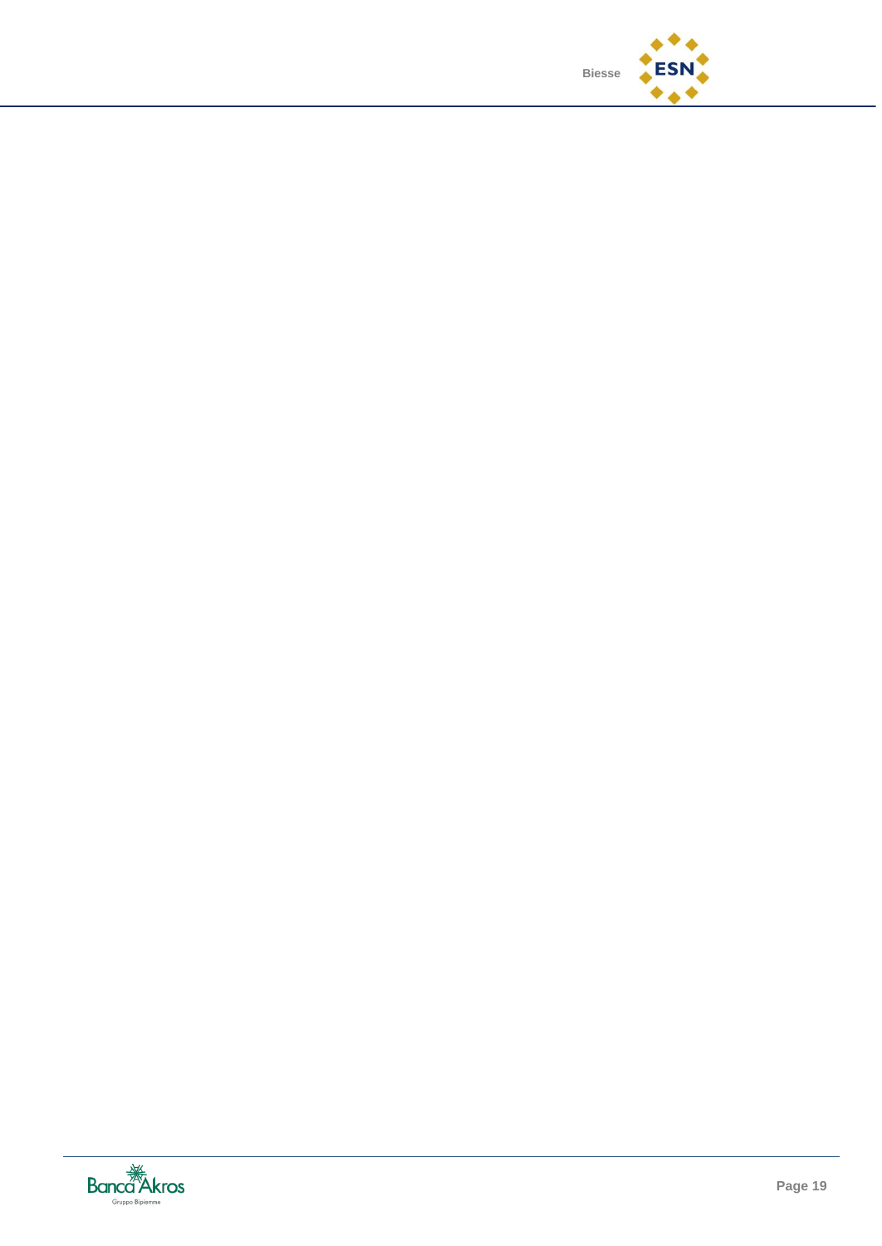